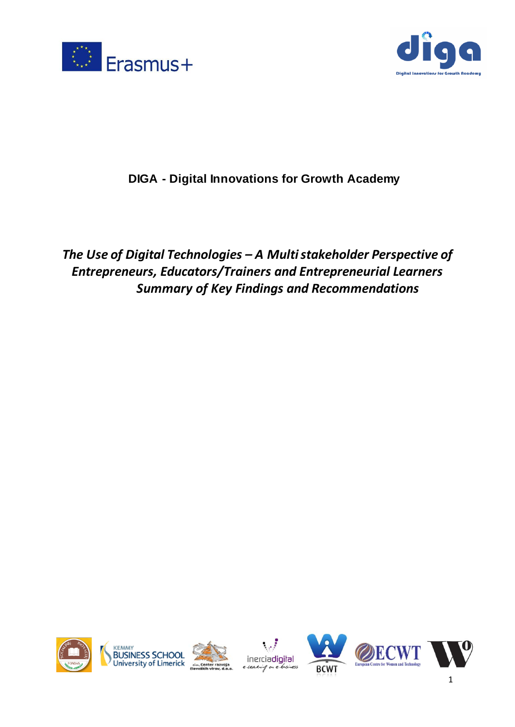



# **DIGA - Digital Innovations for Growth Academy**

*The Use of Digital Technologies – A Multi stakeholder Perspective of Entrepreneurs, Educators/Trainers and Entrepreneurial Learners Summary of Key Findings and Recommendations* 









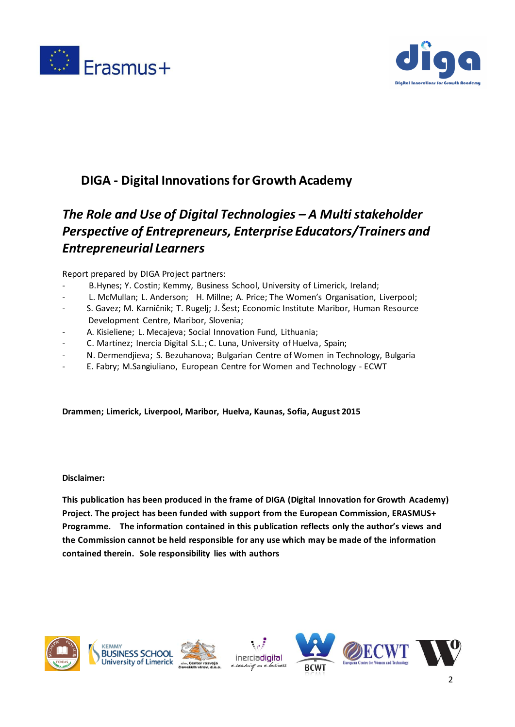



# **DIGA - Digital Innovations for Growth Academy**

# *The Role and Use of Digital Technologies – A Multi stakeholder Perspective of Entrepreneurs, Enterprise Educators/Trainers and Entrepreneurial Learners*

Report prepared by DIGA Project partners:

- B.Hynes; Y. Costin; Kemmy, Business School, University of Limerick, Ireland;
- L. McMullan; L. Anderson; H. Millne; A. Price; The Women's Organisation, Liverpool;
- S. Gavez; M. Karničnik; T. Rugelj; J. Šest; Economic Institute Maribor, Human Resource Development Centre, Maribor, Slovenia;
- A. Kisieliene; L. Mecajeva; Social Innovation Fund, Lithuania;
- C. Martínez; Inercia Digital S.L.; C. Luna, University of Huelva, Spain;
- N. Dermendjieva; S. Bezuhanova; Bulgarian Centrе of Women in Technology, Bulgaria
- E. Fabry; M.Sangiuliano, European Centre for Women and Technology ECWT

#### **Drammen; Limerick, Liverpool, Maribor, Huelva, Kaunas, Sofia, August 2015**

#### **Disclaimer:**

**This publication has been produced in the frame of DIGA (Digital Innovation for Growth Academy) Project. The project has been funded with support from the European Commission, ERASMUS+ Programme. The information contained in this publication reflects only the author's views and the Commission cannot be held responsible for any use which may be made of the information contained therein. Sole responsibility lies with authors**









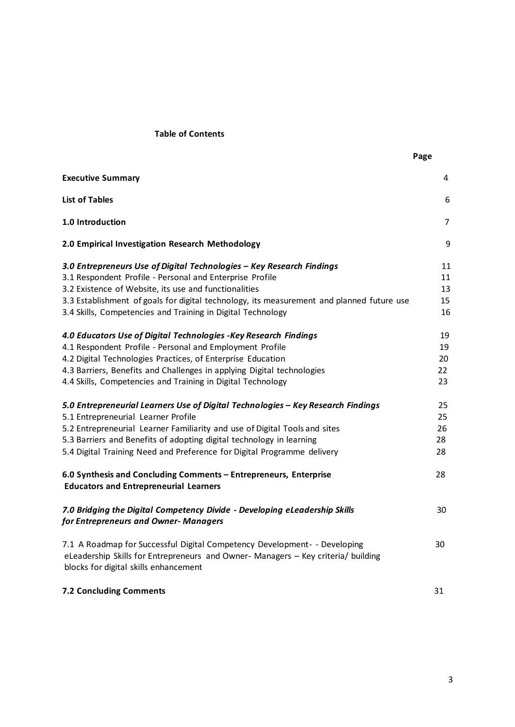# **Table of Contents**

| <b>Executive Summary</b>                                                                                                                                                                                                                                                                                                                                 | 4                          |
|----------------------------------------------------------------------------------------------------------------------------------------------------------------------------------------------------------------------------------------------------------------------------------------------------------------------------------------------------------|----------------------------|
| <b>List of Tables</b>                                                                                                                                                                                                                                                                                                                                    | 6                          |
| 1.0 Introduction                                                                                                                                                                                                                                                                                                                                         | 7                          |
| 2.0 Empirical Investigation Research Methodology                                                                                                                                                                                                                                                                                                         | 9                          |
| 3.0 Entrepreneurs Use of Digital Technologies - Key Research Findings<br>3.1 Respondent Profile - Personal and Enterprise Profile                                                                                                                                                                                                                        | 11<br>11                   |
| 3.2 Existence of Website, its use and functionalities<br>3.3 Establishment of goals for digital technology, its measurement and planned future use<br>3.4 Skills, Competencies and Training in Digital Technology                                                                                                                                        | 13<br>15<br>16             |
| 4.0 Educators Use of Digital Technologies - Key Research Findings<br>4.1 Respondent Profile - Personal and Employment Profile<br>4.2 Digital Technologies Practices, of Enterprise Education<br>4.3 Barriers, Benefits and Challenges in applying Digital technologies<br>4.4 Skills, Competencies and Training in Digital Technology                    | 19<br>19<br>20<br>22<br>23 |
| 5.0 Entrepreneurial Learners Use of Digital Technologies - Key Research Findings<br>5.1 Entrepreneurial Learner Profile<br>5.2 Entrepreneurial Learner Familiarity and use of Digital Tools and sites<br>5.3 Barriers and Benefits of adopting digital technology in learning<br>5.4 Digital Training Need and Preference for Digital Programme delivery | 25<br>25<br>26<br>28<br>28 |
| 6.0 Synthesis and Concluding Comments - Entrepreneurs, Enterprise<br><b>Educators and Entrepreneurial Learners</b>                                                                                                                                                                                                                                       | 28                         |
| 7.0 Bridging the Digital Competency Divide - Developing eLeadership Skills<br>for Entrepreneurs and Owner- Managers                                                                                                                                                                                                                                      | 30                         |
| 7.1 A Roadmap for Successful Digital Competency Development- - Developing<br>eLeadership Skills for Entrepreneurs and Owner-Managers - Key criteria/ building<br>blocks for digital skills enhancement                                                                                                                                                   | 30                         |
| <b>7.2 Concluding Comments</b>                                                                                                                                                                                                                                                                                                                           | 31                         |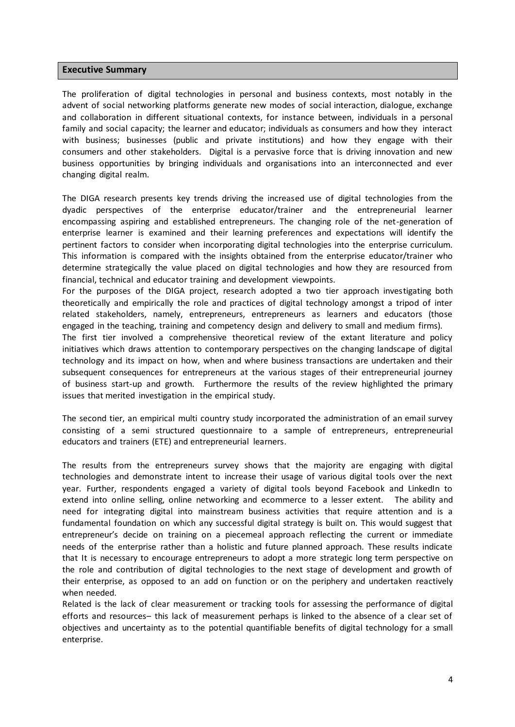#### **Executive Summary**

The proliferation of digital technologies in personal and business contexts, most notably in the advent of social networking platforms generate new modes of social interaction, dialogue, exchange and collaboration in different situational contexts, for instance between, individuals in a personal family and social capacity; the learner and educator; individuals as consumers and how they interact with business; businesses (public and private institutions) and how they engage with their consumers and other stakeholders. Digital is a pervasive force that is driving innovation and new business opportunities by bringing individuals and organisations into an interconnected and ever changing digital realm.

The DIGA research presents key trends driving the increased use of digital technologies from the dyadic perspectives of the enterprise educator/trainer and the entrepreneurial learner encompassing aspiring and established entrepreneurs. The changing role of the net-generation of enterprise learner is examined and their learning preferences and expectations will identify the pertinent factors to consider when incorporating digital technologies into the enterprise curriculum. This information is compared with the insights obtained from the enterprise educator/trainer who determine strategically the value placed on digital technologies and how they are resourced from financial, technical and educator training and development viewpoints.

For the purposes of the DIGA project, research adopted a two tier approach investigating both theoretically and empirically the role and practices of digital technology amongst a tripod of inter related stakeholders, namely, entrepreneurs, entrepreneurs as learners and educators (those engaged in the teaching, training and competency design and delivery to small and medium firms).

The first tier involved a comprehensive theoretical review of the extant literature and policy initiatives which draws attention to contemporary perspectives on the changing landscape of digital technology and its impact on how, when and where business transactions are undertaken and their subsequent consequences for entrepreneurs at the various stages of their entrepreneurial journey of business start-up and growth. Furthermore the results of the review highlighted the primary issues that merited investigation in the empirical study.

The second tier, an empirical multi country study incorporated the administration of an email survey consisting of a semi structured questionnaire to a sample of entrepreneurs, entrepreneurial educators and trainers (ETE) and entrepreneurial learners.

The results from the entrepreneurs survey shows that the majority are engaging with digital technologies and demonstrate intent to increase their usage of various digital tools over the next year. Further, respondents engaged a variety of digital tools beyond Facebook and LinkedIn to extend into online selling, online networking and ecommerce to a lesser extent. The ability and need for integrating digital into mainstream business activities that require attention and is a fundamental foundation on which any successful digital strategy is built on. This would suggest that entrepreneur's decide on training on a piecemeal approach reflecting the current or immediate needs of the enterprise rather than a holistic and future planned approach. These results indicate that It is necessary to encourage entrepreneurs to adopt a more strategic long term perspective on the role and contribution of digital technologies to the next stage of development and growth of their enterprise, as opposed to an add on function or on the periphery and undertaken reactively when needed.

Related is the lack of clear measurement or tracking tools for assessing the performance of digital efforts and resources– this lack of measurement perhaps is linked to the absence of a clear set of objectives and uncertainty as to the potential quantifiable benefits of digital technology for a small enterprise.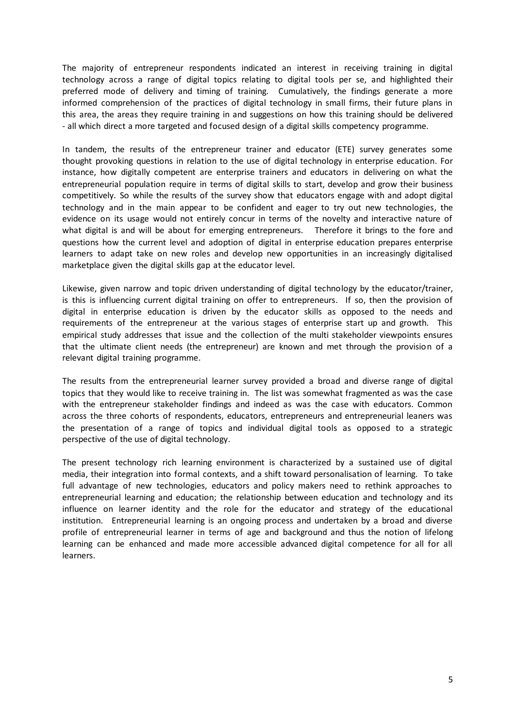The majority of entrepreneur respondents indicated an interest in receiving training in digital technology across a range of digital topics relating to digital tools per se, and highlighted their preferred mode of delivery and timing of training. Cumulatively, the findings generate a more informed comprehension of the practices of digital technology in small firms, their future plans in this area, the areas they require training in and suggestions on how this training should be delivered - all which direct a more targeted and focused design of a digital skills competency programme.

In tandem, the results of the entrepreneur trainer and educator (ETE) survey generates some thought provoking questions in relation to the use of digital technology in enterprise education. For instance, how digitally competent are enterprise trainers and educators in delivering on what the entrepreneurial population require in terms of digital skills to start, develop and grow their business competitively. So while the results of the survey show that educators engage with and adopt digital technology and in the main appear to be confident and eager to try out new technologies, the evidence on its usage would not entirely concur in terms of the novelty and interactive nature of what digital is and will be about for emerging entrepreneurs. Therefore it brings to the fore and questions how the current level and adoption of digital in enterprise education prepares enterprise learners to adapt take on new roles and develop new opportunities in an increasingly digitalised marketplace given the digital skills gap at the educator level.

Likewise, given narrow and topic driven understanding of digital technology by the educator/trainer, is this is influencing current digital training on offer to entrepreneurs. If so, then the provision of digital in enterprise education is driven by the educator skills as opposed to the needs and requirements of the entrepreneur at the various stages of enterprise start up and growth. This empirical study addresses that issue and the collection of the multi stakeholder viewpoints ensures that the ultimate client needs (the entrepreneur) are known and met through the provision of a relevant digital training programme.

The results from the entrepreneurial learner survey provided a broad and diverse range of digital topics that they would like to receive training in. The list was somewhat fragmented as was the case with the entrepreneur stakeholder findings and indeed as was the case with educators. Common across the three cohorts of respondents, educators, entrepreneurs and entrepreneurial leaners was the presentation of a range of topics and individual digital tools as opposed to a strategic perspective of the use of digital technology.

The present technology rich learning environment is characterized by a sustained use of digital media, their integration into formal contexts, and a shift toward personalisation of learning. To take full advantage of new technologies, educators and policy makers need to rethink approaches to entrepreneurial learning and education; the relationship between education and technology and its influence on learner identity and the role for the educator and strategy of the educational institution. Entrepreneurial learning is an ongoing process and undertaken by a broad and diverse profile of entrepreneurial learner in terms of age and background and thus the notion of lifelong learning can be enhanced and made more accessible advanced digital competence for all for all learners.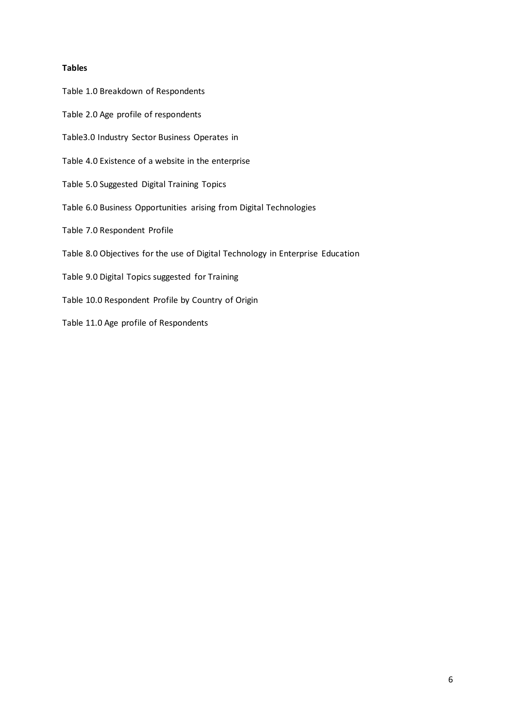#### **Tables**

Table 1.0 Breakdown of Respondents Table 2.0 Age profile of respondents Table3.0 Industry Sector Business Operates in Table 4.0 Existence of a website in the enterprise Table 5.0 Suggested Digital Training Topics Table 6.0 Business Opportunities arising from Digital Technologies Table 7.0 Respondent Profile Table 8.0 Objectives for the use of Digital Technology in Enterprise Education Table 9.0 Digital Topics suggested for Training Table 10.0 Respondent Profile by Country of Origin Table 11.0 Age profile of Respondents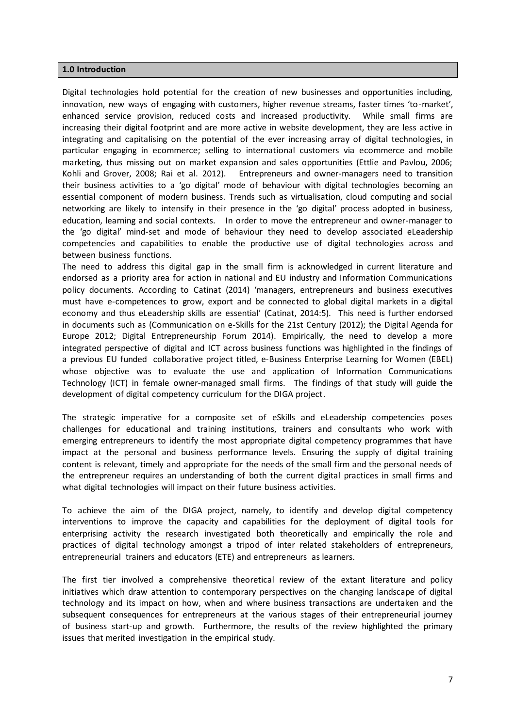#### **1.0 Introduction**

Digital technologies hold potential for the creation of new businesses and opportunities including, innovation, new ways of engaging with customers, higher revenue streams, faster times 'to-market', enhanced service provision, reduced costs and increased productivity. While small firms are increasing their digital footprint and are more active in website development, they are less active in integrating and capitalising on the potential of the ever increasing array of digital technologies, in particular engaging in ecommerce; selling to international customers via ecommerce and mobile marketing, thus missing out on market expansion and sales opportunities (Ettlie and Pavlou, 2006; Kohli and Grover, 2008; Rai et al. 2012). Entrepreneurs and owner-managers need to transition their business activities to a 'go digital' mode of behaviour with digital technologies becoming an essential component of modern business. Trends such as virtualisation, cloud computing and social networking are likely to intensify in their presence in the 'go digital' process adopted in business, education, learning and social contexts. In order to move the entrepreneur and owner-manager to the 'go digital' mind-set and mode of behaviour they need to develop associated eLeadership competencies and capabilities to enable the productive use of digital technologies across and between business functions.

The need to address this digital gap in the small firm is acknowledged in current literature and endorsed as a priority area for action in national and EU industry and Information Communications policy documents. According to Catinat (2014) 'managers, entrepreneurs and business executives must have e-competences to grow, export and be connected to global digital markets in a digital economy and thus eLeadership skills are essential' (Catinat, 2014:5). This need is further endorsed in documents such as (Communication on e-Skills for the 21st Century (2012); the Digital Agenda for Europe 2012; Digital Entrepreneurship Forum 2014). Empirically, the need to develop a more integrated perspective of digital and ICT across business functions was highlighted in the findings of a previous EU funded collaborative project titled, e-Business Enterprise Learning for Women (EBEL) whose objective was to evaluate the use and application of Information Communications Technology (ICT) in female owner-managed small firms. The findings of that study will guide the development of digital competency curriculum for the DIGA project.

The strategic imperative for a composite set of eSkills and eLeadership competencies poses challenges for educational and training institutions, trainers and consultants who work with emerging entrepreneurs to identify the most appropriate digital competency programmes that have impact at the personal and business performance levels. Ensuring the supply of digital training content is relevant, timely and appropriate for the needs of the small firm and the personal needs of the entrepreneur requires an understanding of both the current digital practices in small firms and what digital technologies will impact on their future business activities.

To achieve the aim of the DIGA project, namely, to identify and develop digital competency interventions to improve the capacity and capabilities for the deployment of digital tools for enterprising activity the research investigated both theoretically and empirically the role and practices of digital technology amongst a tripod of inter related stakeholders of entrepreneurs, entrepreneurial trainers and educators (ETE) and entrepreneurs as learners.

The first tier involved a comprehensive theoretical review of the extant literature and policy initiatives which draw attention to contemporary perspectives on the changing landscape of digital technology and its impact on how, when and where business transactions are undertaken and the subsequent consequences for entrepreneurs at the various stages of their entrepreneurial journey of business start-up and growth. Furthermore, the results of the review highlighted the primary issues that merited investigation in the empirical study.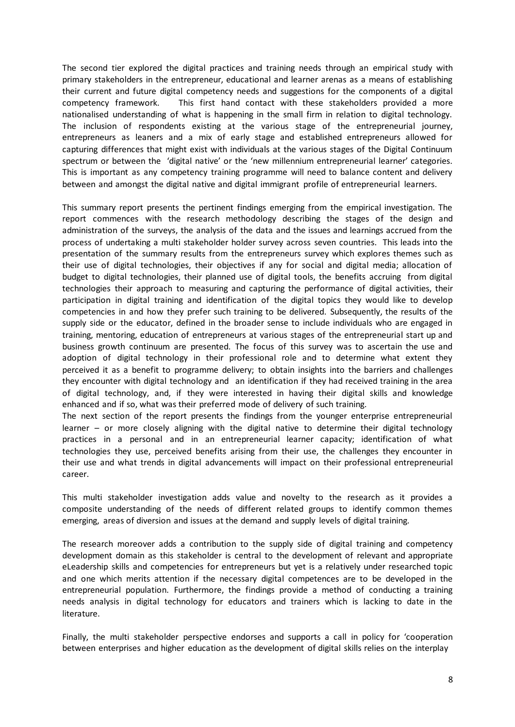The second tier explored the digital practices and training needs through an empirical study with primary stakeholders in the entrepreneur, educational and learner arenas as a means of establishing their current and future digital competency needs and suggestions for the components of a digital competency framework. This first hand contact with these stakeholders provided a more nationalised understanding of what is happening in the small firm in relation to digital technology. The inclusion of respondents existing at the various stage of the entrepreneurial journey, entrepreneurs as leaners and a mix of early stage and established entrepreneurs allowed for capturing differences that might exist with individuals at the various stages of the Digital Continuum spectrum or between the 'digital native' or the 'new millennium entrepreneurial learner' categories. This is important as any competency training programme will need to balance content and delivery between and amongst the digital native and digital immigrant profile of entrepreneurial learners.

This summary report presents the pertinent findings emerging from the empirical investigation. The report commences with the research methodology describing the stages of the design and administration of the surveys, the analysis of the data and the issues and learnings accrued from the process of undertaking a multi stakeholder holder survey across seven countries. This leads into the presentation of the summary results from the entrepreneurs survey which explores themes such as their use of digital technologies, their objectives if any for social and digital media; allocation of budget to digital technologies, their planned use of digital tools, the benefits accruing from digital technologies their approach to measuring and capturing the performance of digital activities, their participation in digital training and identification of the digital topics they would like to develop competencies in and how they prefer such training to be delivered. Subsequently, the results of the supply side or the educator, defined in the broader sense to include individuals who are engaged in training, mentoring, education of entrepreneurs at various stages of the entrepreneurial start up and business growth continuum are presented. The focus of this survey was to ascertain the use and adoption of digital technology in their professional role and to determine what extent they perceived it as a benefit to programme delivery; to obtain insights into the barriers and challenges they encounter with digital technology and an identification if they had received training in the area of digital technology, and, if they were interested in having their digital skills and knowledge enhanced and if so, what was their preferred mode of delivery of such training.

The next section of the report presents the findings from the younger enterprise entrepreneurial learner – or more closely aligning with the digital native to determine their digital technology practices in a personal and in an entrepreneurial learner capacity; identification of what technologies they use, perceived benefits arising from their use, the challenges they encounter in their use and what trends in digital advancements will impact on their professional entrepreneurial career.

This multi stakeholder investigation adds value and novelty to the research as it provides a composite understanding of the needs of different related groups to identify common themes emerging, areas of diversion and issues at the demand and supply levels of digital training.

The research moreover adds a contribution to the supply side of digital training and competency development domain as this stakeholder is central to the development of relevant and appropriate eLeadership skills and competencies for entrepreneurs but yet is a relatively under researched topic and one which merits attention if the necessary digital competences are to be developed in the entrepreneurial population. Furthermore, the findings provide a method of conducting a training needs analysis in digital technology for educators and trainers which is lacking to date in the literature.

Finally, the multi stakeholder perspective endorses and supports a call in policy for 'cooperation between enterprises and higher education as the development of digital skills relies on the interplay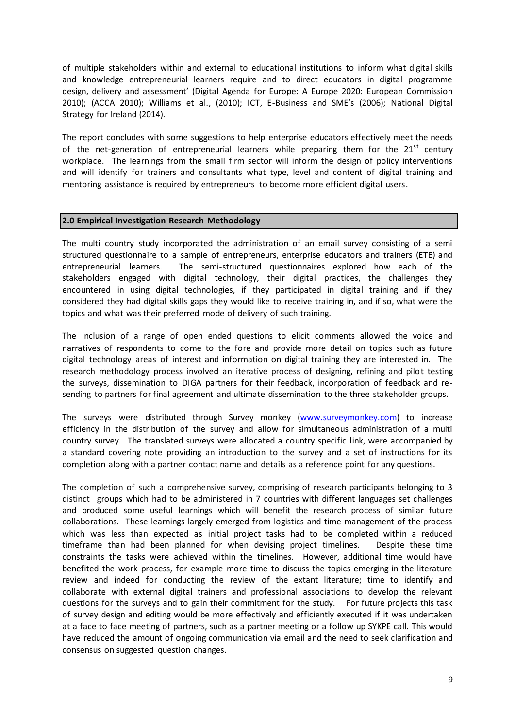of multiple stakeholders within and external to educational institutions to inform what digital skills and knowledge entrepreneurial learners require and to direct educators in digital programme design, delivery and assessment' (Digital Agenda for Europe: A Europe 2020: European Commission 2010); (ACCA 2010); Williams et al., (2010); ICT, E-Business and SME's (2006); National Digital Strategy for Ireland (2014).

The report concludes with some suggestions to help enterprise educators effectively meet the needs of the net-generation of entrepreneurial learners while preparing them for the  $21<sup>st</sup>$  century workplace. The learnings from the small firm sector will inform the design of policy interventions and will identify for trainers and consultants what type, level and content of digital training and mentoring assistance is required by entrepreneurs to become more efficient digital users.

#### **2.0 Empirical Investigation Research Methodology**

The multi country study incorporated the administration of an email survey consisting of a semi structured questionnaire to a sample of entrepreneurs, enterprise educators and trainers (ETE) and entrepreneurial learners. The semi-structured questionnaires explored how each of the stakeholders engaged with digital technology, their digital practices, the challenges they encountered in using digital technologies, if they participated in digital training and if they considered they had digital skills gaps they would like to receive training in, and if so, what were the topics and what was their preferred mode of delivery of such training.

The inclusion of a range of open ended questions to elicit comments allowed the voice and narratives of respondents to come to the fore and provide more detail on topics such as future digital technology areas of interest and information on digital training they are interested in. The research methodology process involved an iterative process of designing, refining and pilot testing the surveys, dissemination to DIGA partners for their feedback, incorporation of feedback and resending to partners for final agreement and ultimate dissemination to the three stakeholder groups.

The surveys were distributed through Survey monkey [\(www.surveymonkey.com\)](http://www.surveymonkey.com/) to increase efficiency in the distribution of the survey and allow for simultaneous administration of a multi country survey. The translated surveys were allocated a country specific link, were accompanied by a standard covering note providing an introduction to the survey and a set of instructions for its completion along with a partner contact name and details as a reference point for any questions.

The completion of such a comprehensive survey, comprising of research participants belonging to 3 distinct groups which had to be administered in 7 countries with different languages set challenges and produced some useful learnings which will benefit the research process of similar future collaborations. These learnings largely emerged from logistics and time management of the process which was less than expected as initial project tasks had to be completed within a reduced timeframe than had been planned for when devising project timelines. Despite these time constraints the tasks were achieved within the timelines. However, additional time would have benefited the work process, for example more time to discuss the topics emerging in the literature review and indeed for conducting the review of the extant literature; time to identify and collaborate with external digital trainers and professional associations to develop the relevant questions for the surveys and to gain their commitment for the study. For future projects this task of survey design and editing would be more effectively and efficiently executed if it was undertaken at a face to face meeting of partners, such as a partner meeting or a follow up SYKPE call. This would have reduced the amount of ongoing communication via email and the need to seek clarification and consensus on suggested question changes.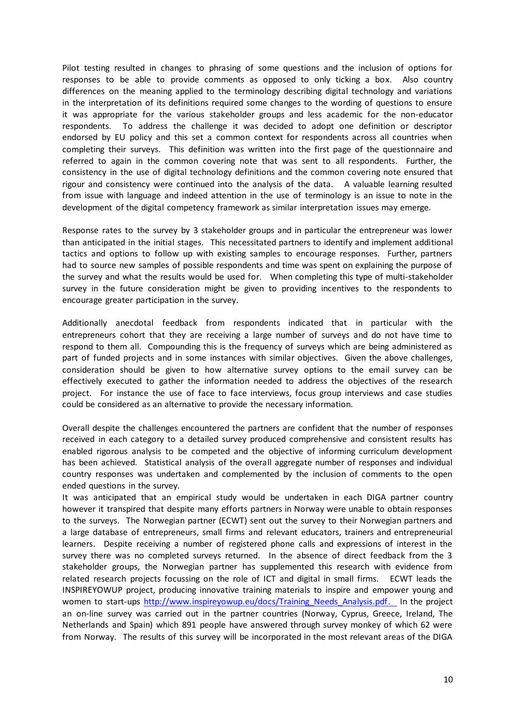Pilot testing resulted in changes to phrasing of some questions and the inclusion of options for responses to be able to provide comments as opposed to only ticking a box. Also country differences on the meaning applied to the terminology describing digital technology and variations in the interpretation of its definitions required some changes to the wording of questions to ensure it was appropriate for the various stakeholder groups and less academic for the non-educator respondents. To address the challenge it was decided to adopt one definition or descriptor endorsed by EU policy and this set a common context for respondents across all countries when completing their surveys. This definition was written into the first page of the questionnaire and referred to again in the common covering note that was sent to all respondents. Further, the consistency in the use of digital technology definitions and the common covering note ensured that rigour and consistency were continued into the analysis of the data. A valuable learning resulted from issue with language and indeed attention in the use of terminology is an issue to note in the development of the digital competency framework as similar interpretation issues may emerge.

Response rates to the survey by 3 stakeholder groups and in particular the entrepreneur was lower than anticipated in the initial stages. This necessitated partners to identify and implement additional tactics and options to follow up with existing samples to encourage responses. Further, partners had to source new samples of possible respondents and time was spent on explaining the purpose of the survey and what the results would be used for. When completing this type of multi-stakeholder survey in the future consideration might be given to providing incentives to the respondents to encourage greater participation in the survey.

Additionally anecdotal feedback from respondents indicated that in particular with the entrepreneurs cohort that they are receiving a large number of surveys and do not have time to respond to them all. Compounding this is the frequency of surveys which are being administered as part of funded projects and in some instances with similar objectives. Given the above challenges, consideration should be given to how alternative survey options to the email survey can be effectively executed to gather the information needed to address the objectives of the research project. For instance the use of face to face interviews, focus group interviews and case studies could be considered as an alternative to provide the necessary information.

Overall despite the challenges encountered the partners are confident that the number of responses received in each category to a detailed survey produced comprehensive and consistent results has enabled rigorous analysis to be competed and the objective of informing curriculum development has been achieved. Statistical analysis of the overall aggregate number of responses and individual country responses was undertaken and complemented by the inclusion of comments to the open ended questions in the survey.

It was anticipated that an empirical study would be undertaken in each DIGA partner country however it transpired that despite many efforts partners in Norway were unable to obtain responses to the surveys. The Norwegian partner (ECWT) sent out the survey to their Norwegian partners and a large database of entrepreneurs, small firms and relevant educators, trainers and entrepreneurial learners. Despite receiving a number of registered phone calls and expressions of interest in the survey there was no completed surveys returned. In the absence of direct feedback from the 3 stakeholder groups, the Norwegian partner has supplemented this research with evidence from related research projects focussing on the role of ICT and digital in small firms. ECWT leads the INSPIREYOWUP project, producing innovative training materials to inspire and empower young and women to start-up[s http://www.inspireyowup.eu/docs/Training\\_Needs\\_Analysis.pdf.](http://www.inspireyowup.eu/docs/Training_Needs_Analysis.pdf) In the project an on-line survey was carried out in the partner countries (Norway, Cyprus, Greece, Ireland, The Netherlands and Spain) which 891 people have answered through survey monkey of which 62 were from Norway. The results of this survey will be incorporated in the most relevant areas of the DIGA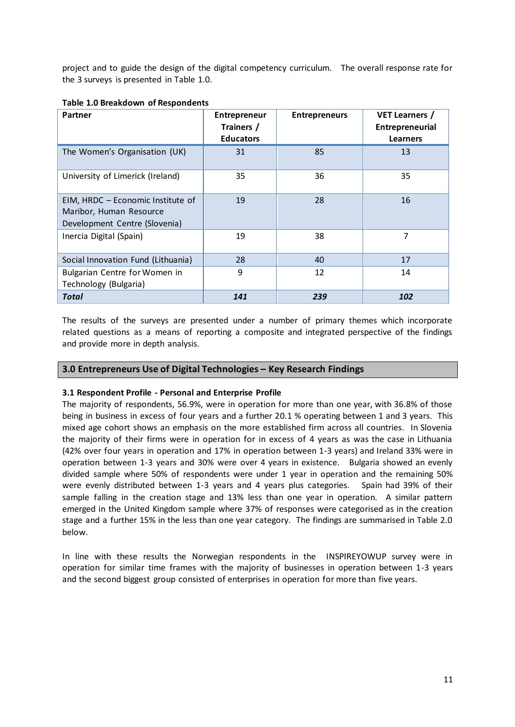project and to guide the design of the digital competency curriculum. The overall response rate for the 3 surveys is presented in Table 1.0.

| Partner                                                                                       | Entrepreneur<br>Trainers /<br><b>Educators</b> | <b>Entrepreneurs</b> | <b>VET Learners /</b><br>Entrepreneurial<br><b>Learners</b> |
|-----------------------------------------------------------------------------------------------|------------------------------------------------|----------------------|-------------------------------------------------------------|
| The Women's Organisation (UK)                                                                 | 31                                             | 85                   | 13                                                          |
| University of Limerick (Ireland)                                                              | 35                                             | 36                   | 35                                                          |
| EIM, HRDC - Economic Institute of<br>Maribor, Human Resource<br>Development Centre (Slovenia) | 19                                             | 28                   | 16                                                          |
| Inercia Digital (Spain)                                                                       | 19                                             | 38                   | 7                                                           |
| Social Innovation Fund (Lithuania)                                                            | 28                                             | 40                   | 17                                                          |
| Bulgarian Centre for Women in<br>Technology (Bulgaria)                                        | 9                                              | 12                   | 14                                                          |
| Total                                                                                         | 141                                            | 239                  | 102                                                         |

#### **Table 1.0 Breakdown of Respondents**

The results of the surveys are presented under a number of primary themes which incorporate related questions as a means of reporting a composite and integrated perspective of the findings and provide more in depth analysis.

#### **3.0 Entrepreneurs Use of Digital Technologies – Key Research Findings**

#### **3.1 Respondent Profile - Personal and Enterprise Profile**

The majority of respondents, 56.9%, were in operation for more than one year, with 36.8% of those being in business in excess of four years and a further 20.1 % operating between 1 and 3 years. This mixed age cohort shows an emphasis on the more established firm across all countries. In Slovenia the majority of their firms were in operation for in excess of 4 years as was the case in Lithuania (42% over four years in operation and 17% in operation between 1-3 years) and Ireland 33% were in operation between 1-3 years and 30% were over 4 years in existence. Bulgaria showed an evenly divided sample where 50% of respondents were under 1 year in operation and the remaining 50% were evenly distributed between 1-3 years and 4 years plus categories. Spain had 39% of their sample falling in the creation stage and 13% less than one year in operation. A similar pattern emerged in the United Kingdom sample where 37% of responses were categorised as in the creation stage and a further 15% in the less than one year category. The findings are summarised in Table 2.0 below.

In line with these results the Norwegian respondents in the INSPIREYOWUP survey were in operation for similar time frames with the majority of businesses in operation between 1-3 years and the second biggest group consisted of enterprises in operation for more than five years.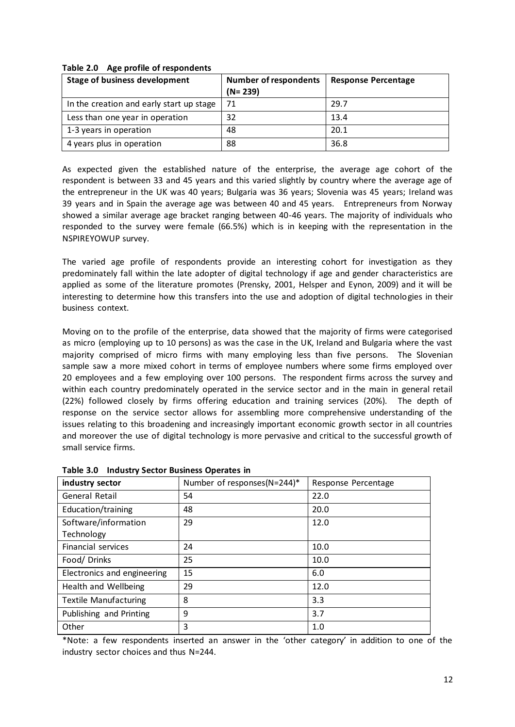| <b>Stage of business development</b>     | <b>Number of respondents</b><br>$(N = 239)$ | <b>Response Percentage</b> |
|------------------------------------------|---------------------------------------------|----------------------------|
| In the creation and early start up stage | 71                                          | 29.7                       |
| Less than one year in operation          | 32                                          | 13.4                       |
| 1-3 years in operation                   | 48                                          | 20.1                       |
| 4 years plus in operation                | 88                                          | 36.8                       |

#### **Table 2.0 Age profile of respondents**

As expected given the established nature of the enterprise, the average age cohort of the respondent is between 33 and 45 years and this varied slightly by country where the average age of the entrepreneur in the UK was 40 years; Bulgaria was 36 years; Slovenia was 45 years; Ireland was 39 years and in Spain the average age was between 40 and 45 years. Entrepreneurs from Norway showed a similar average age bracket ranging between 40-46 years. The majority of individuals who responded to the survey were female (66.5%) which is in keeping with the representation in the NSPIREYOWUP survey.

The varied age profile of respondents provide an interesting cohort for investigation as they predominately fall within the late adopter of digital technology if age and gender characteristics are applied as some of the literature promotes (Prensky, 2001, Helsper and Eynon, 2009) and it will be interesting to determine how this transfers into the use and adoption of digital technologies in their business context.

Moving on to the profile of the enterprise, data showed that the majority of firms were categorised as micro (employing up to 10 persons) as was the case in the UK, Ireland and Bulgaria where the vast majority comprised of micro firms with many employing less than five persons. The Slovenian sample saw a more mixed cohort in terms of employee numbers where some firms employed over 20 employees and a few employing over 100 persons. The respondent firms across the survey and within each country predominately operated in the service sector and in the main in general retail (22%) followed closely by firms offering education and training services (20%). The depth of response on the service sector allows for assembling more comprehensive understanding of the issues relating to this broadening and increasingly important economic growth sector in all countries and moreover the use of digital technology is more pervasive and critical to the successful growth of small service firms.

| industry sector              | Number of responses(N=244)* | Response Percentage |
|------------------------------|-----------------------------|---------------------|
| General Retail               | 54                          | 22.0                |
| Education/training           | 48                          | 20.0                |
| Software/information         | 29                          | 12.0                |
| Technology                   |                             |                     |
| <b>Financial services</b>    | 24                          | 10.0                |
| Food/Drinks                  | 25                          | 10.0                |
| Electronics and engineering  | 15                          | 6.0                 |
| Health and Wellbeing         | 29                          | 12.0                |
| <b>Textile Manufacturing</b> | 8                           | 3.3                 |
| Publishing and Printing      | 9                           | 3.7                 |
| Other                        | 3                           | 1.0                 |

#### **Table 3.0 Industry Sector Business Operates in**

\*Note: a few respondents inserted an answer in the 'other category' in addition to one of the industry sector choices and thus N=244.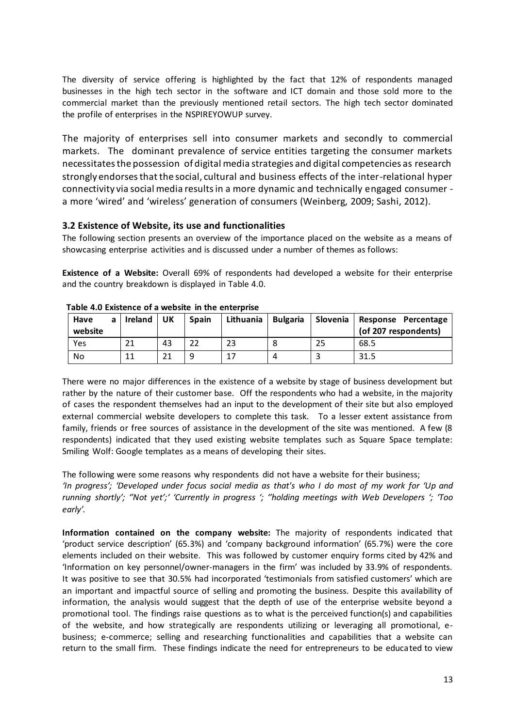The diversity of service offering is highlighted by the fact that 12% of respondents managed businesses in the high tech sector in the software and ICT domain and those sold more to the commercial market than the previously mentioned retail sectors. The high tech sector dominated the profile of enterprises in the NSPIREYOWUP survey.

The majority of enterprises sell into consumer markets and secondly to commercial markets. The dominant prevalence of service entities targeting the consumer markets necessitates the possession of digital media strategies and digital competencies as research strongly endorses that the social, cultural and business effects of the inter-relational hyper connectivity via social media results in a more dynamic and technically engaged consumer a more 'wired' and 'wireless' generation of consumers (Weinberg, 2009; Sashi, 2012).

## **3.2 Existence of Website, its use and functionalities**

The following section presents an overview of the importance placed on the website as a means of showcasing enterprise activities and is discussed under a number of themes as follows:

**Existence of a Website:** Overall 69% of respondents had developed a website for their enterprise and the country breakdown is displayed in Table 4.0.

| Have<br>website | a | Ireland | UK | <b>Spain</b> | Lithuania | <b>Bulgaria</b> | Slovenia | Response Percentage<br>(of 207 respondents) |
|-----------------|---|---------|----|--------------|-----------|-----------------|----------|---------------------------------------------|
| Yes             |   | 21      | 43 |              | 23        |                 | 25       | 68.5                                        |
| No              |   | 11      | 21 | a            |           | $\prime$        |          | 31.5                                        |

There were no major differences in the existence of a website by stage of business development but rather by the nature of their customer base. Off the respondents who had a website, in the majority of cases the respondent themselves had an input to the development of their site but also employed external commercial website developers to complete this task. To a lesser extent assistance from family, friends or free sources of assistance in the development of the site was mentioned. A few (8 respondents) indicated that they used existing website templates such as Square Space template: Smiling Wolf: Google templates as a means of developing their sites.

The following were some reasons why respondents did not have a website for their business; *'In progress'; 'Developed under focus social media as that's who I do most of my work for 'Up and running shortly'; ''Not yet';' 'Currently in progress '; ''holding meetings with Web Developers '; 'Too early'.*

**Information contained on the company website:** The majority of respondents indicated that 'product service description' (65.3%) and 'company background information' (65.7%) were the core elements included on their website. This was followed by customer enquiry forms cited by 42% and 'Information on key personnel/owner-managers in the firm' was included by 33.9% of respondents. It was positive to see that 30.5% had incorporated 'testimonials from satisfied customers' which are an important and impactful source of selling and promoting the business. Despite this availability of information, the analysis would suggest that the depth of use of the enterprise website beyond a promotional tool. The findings raise questions as to what is the perceived function(s) and capabilities of the website, and how strategically are respondents utilizing or leveraging all promotional, ebusiness; e-commerce; selling and researching functionalities and capabilities that a website can return to the small firm. These findings indicate the need for entrepreneurs to be educated to view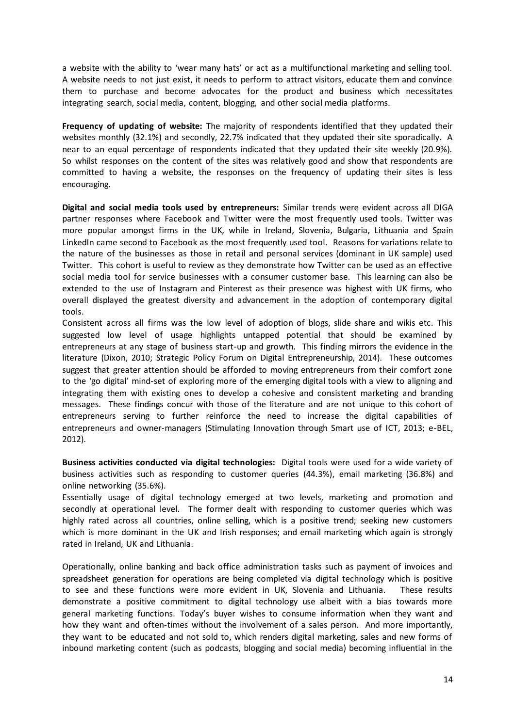a website with the ability to 'wear many hats' or act as a multifunctional marketing and selling tool. A website needs to not just exist, it needs to perform to attract visitors, educate them and convince them to purchase and become advocates for the product and business which necessitates integrating search, social media, content, blogging, and other social media platforms.

**Frequency of updating of website:** The majority of respondents identified that they updated their websites monthly (32.1%) and secondly, 22.7% indicated that they updated their site sporadically. A near to an equal percentage of respondents indicated that they updated their site weekly (20.9%). So whilst responses on the content of the sites was relatively good and show that respondents are committed to having a website, the responses on the frequency of updating their sites is less encouraging.

**Digital and social media tools used by entrepreneurs:** Similar trends were evident across all DIGA partner responses where Facebook and Twitter were the most frequently used tools. Twitter was more popular amongst firms in the UK, while in Ireland, Slovenia, Bulgaria, Lithuania and Spain LinkedIn came second to Facebook as the most frequently used tool. Reasons for variations relate to the nature of the businesses as those in retail and personal services (dominant in UK sample) used Twitter. This cohort is useful to review as they demonstrate how Twitter can be used as an effective social media tool for service businesses with a consumer customer base. This learning can also be extended to the use of Instagram and Pinterest as their presence was highest with UK firms, who overall displayed the greatest diversity and advancement in the adoption of contemporary digital tools.

Consistent across all firms was the low level of adoption of blogs, slide share and wikis etc. This suggested low level of usage highlights untapped potential that should be examined by entrepreneurs at any stage of business start-up and growth. This finding mirrors the evidence in the literature (Dixon, 2010; Strategic Policy Forum on Digital Entrepreneurship, 2014). These outcomes suggest that greater attention should be afforded to moving entrepreneurs from their comfort zone to the 'go digital' mind-set of exploring more of the emerging digital tools with a view to aligning and integrating them with existing ones to develop a cohesive and consistent marketing and branding messages. These findings concur with those of the literature and are not unique to this cohort of entrepreneurs serving to further reinforce the need to increase the digital capabilities of entrepreneurs and owner-managers (Stimulating Innovation through Smart use of ICT, 2013; e-BEL, 2012).

**Business activities conducted via digital technologies:** Digital tools were used for a wide variety of business activities such as responding to customer queries (44.3%), email marketing (36.8%) and online networking (35.6%).

Essentially usage of digital technology emerged at two levels, marketing and promotion and secondly at operational level. The former dealt with responding to customer queries which was highly rated across all countries, online selling, which is a positive trend; seeking new customers which is more dominant in the UK and Irish responses; and email marketing which again is strongly rated in Ireland, UK and Lithuania.

Operationally, online banking and back office administration tasks such as payment of invoices and spreadsheet generation for operations are being completed via digital technology which is positive to see and these functions were more evident in UK, Slovenia and Lithuania. These results demonstrate a positive commitment to digital technology use albeit with a bias towards more general marketing functions. Today's buyer wishes to consume information when they want and how they want and often-times without the involvement of a sales person. And more importantly, they want to be educated and not sold to, which renders digital marketing, sales and new forms of inbound marketing content (such as podcasts, blogging and social media) becoming influential in the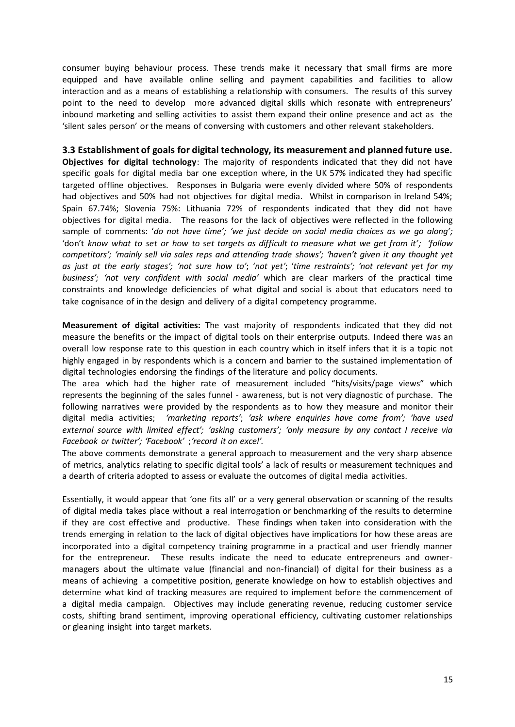consumer buying behaviour process. These trends make it necessary that small firms are more equipped and have available online selling and payment capabilities and facilities to allow interaction and as a means of establishing a relationship with consumers. The results of this survey point to the need to develop more advanced digital skills which resonate with entrepreneurs' inbound marketing and selling activities to assist them expand their online presence and act as the 'silent sales person' or the means of conversing with customers and other relevant stakeholders.

**3.3 Establishment of goals for digital technology, its measurement and planned future use. Objectives for digital technology**: The majority of respondents indicated that they did not have specific goals for digital media bar one exception where, in the UK 57% indicated they had specific targeted offline objectives. Responses in Bulgaria were evenly divided where 50% of respondents had objectives and 50% had not objectives for digital media. Whilst in comparison in Ireland 54%; Spain 67.74%; Slovenia 75%: Lithuania 72% of respondents indicated that they did not have objectives for digital media. The reasons for the lack of objectives were reflected in the following sample of comments: '*do not have time'; 'we just decide on social media choices as we go along';*  'don't *know what to set or how to set targets as difficult to measure what we get from it'; 'follow competitors'; 'mainly sell via sales reps and attending trade shows'; 'haven't given it any thought yet as just at the early stages'; 'not sure how to'*; '*not yet'*; '*time restraints'; 'not relevant yet for my business'; 'not very confident with social media'* which are clear markers of the practical time constraints and knowledge deficiencies of what digital and social is about that educators need to take cognisance of in the design and delivery of a digital competency programme.

**Measurement of digital activities:** The vast majority of respondents indicated that they did not measure the benefits or the impact of digital tools on their enterprise outputs. Indeed there was an overall low response rate to this question in each country which in itself infers that it is a topic not highly engaged in by respondents which is a concern and barrier to the sustained implementation of digital technologies endorsing the findings of the literature and policy documents.

The area which had the higher rate of measurement included "hits/visits/page views" which represents the beginning of the sales funnel - awareness, but is not very diagnostic of purchase. The following narratives were provided by the respondents as to how they measure and monitor their digital media activities; *'marketing reports'*; *'ask where enquiries have come from'; 'have used external source with limited effect'; 'asking customers'; 'only measure by any contact I receive via Facebook or twitter'; 'Facebook'* ;*'record it on excel'.* 

The above comments demonstrate a general approach to measurement and the very sharp absence of metrics, analytics relating to specific digital tools' a lack of results or measurement techniques and a dearth of criteria adopted to assess or evaluate the outcomes of digital media activities.

Essentially, it would appear that 'one fits all' or a very general observation or scanning of the results of digital media takes place without a real interrogation or benchmarking of the results to determine if they are cost effective and productive. These findings when taken into consideration with the trends emerging in relation to the lack of digital objectives have implications for how these areas are incorporated into a digital competency training programme in a practical and user friendly manner for the entrepreneur. These results indicate the need to educate entrepreneurs and ownermanagers about the ultimate value (financial and non-financial) of digital for their business as a means of achieving a competitive position, generate knowledge on how to establish objectives and determine what kind of tracking measures are required to implement before the commencement of a digital media campaign. Objectives may include generating revenue, reducing customer service costs, shifting brand sentiment, improving operational efficiency, cultivating customer relationships or gleaning insight into target markets.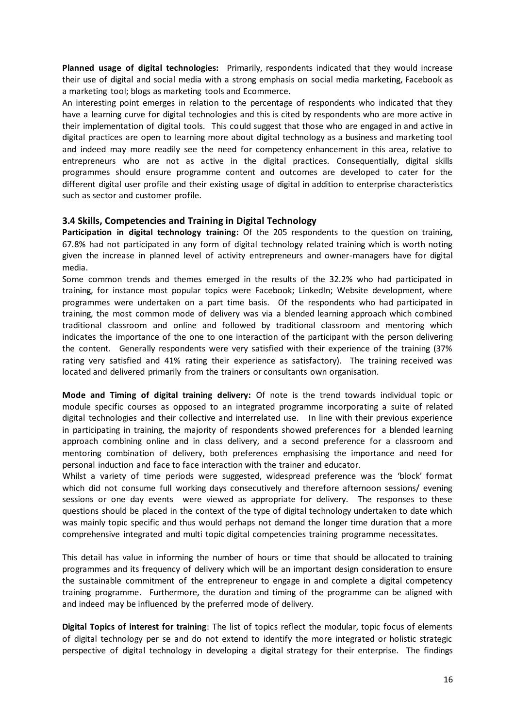**Planned usage of digital technologies:** Primarily, respondents indicated that they would increase their use of digital and social media with a strong emphasis on social media marketing, Facebook as a marketing tool; blogs as marketing tools and Ecommerce.

An interesting point emerges in relation to the percentage of respondents who indicated that they have a learning curve for digital technologies and this is cited by respondents who are more active in their implementation of digital tools. This could suggest that those who are engaged in and active in digital practices are open to learning more about digital technology as a business and marketing tool and indeed may more readily see the need for competency enhancement in this area, relative to entrepreneurs who are not as active in the digital practices. Consequentially, digital skills programmes should ensure programme content and outcomes are developed to cater for the different digital user profile and their existing usage of digital in addition to enterprise characteristics such as sector and customer profile.

### **3.4 Skills, Competencies and Training in Digital Technology**

**Participation in digital technology training:** Of the 205 respondents to the question on training, 67.8% had not participated in any form of digital technology related training which is worth noting given the increase in planned level of activity entrepreneurs and owner-managers have for digital media.

Some common trends and themes emerged in the results of the 32.2% who had participated in training, for instance most popular topics were Facebook; LinkedIn; Website development, where programmes were undertaken on a part time basis. Of the respondents who had participated in training, the most common mode of delivery was via a blended learning approach which combined traditional classroom and online and followed by traditional classroom and mentoring which indicates the importance of the one to one interaction of the participant with the person delivering the content. Generally respondents were very satisfied with their experience of the training (37% rating very satisfied and 41% rating their experience as satisfactory). The training received was located and delivered primarily from the trainers or consultants own organisation.

**Mode and Timing of digital training delivery:** Of note is the trend towards individual topic or module specific courses as opposed to an integrated programme incorporating a suite of related digital technologies and their collective and interrelated use. In line with their previous experience in participating in training, the majority of respondents showed preferences for a blended learning approach combining online and in class delivery, and a second preference for a classroom and mentoring combination of delivery, both preferences emphasising the importance and need for personal induction and face to face interaction with the trainer and educator.

Whilst a variety of time periods were suggested, widespread preference was the 'block' format which did not consume full working days consecutively and therefore afternoon sessions/ evening sessions or one day events were viewed as appropriate for delivery. The responses to these questions should be placed in the context of the type of digital technology undertaken to date which was mainly topic specific and thus would perhaps not demand the longer time duration that a more comprehensive integrated and multi topic digital competencies training programme necessitates.

This detail has value in informing the number of hours or time that should be allocated to training programmes and its frequency of delivery which will be an important design consideration to ensure the sustainable commitment of the entrepreneur to engage in and complete a digital competency training programme. Furthermore, the duration and timing of the programme can be aligned with and indeed may be influenced by the preferred mode of delivery.

**Digital Topics of interest for training**: The list of topics reflect the modular, topic focus of elements of digital technology per se and do not extend to identify the more integrated or holistic strategic perspective of digital technology in developing a digital strategy for their enterprise. The findings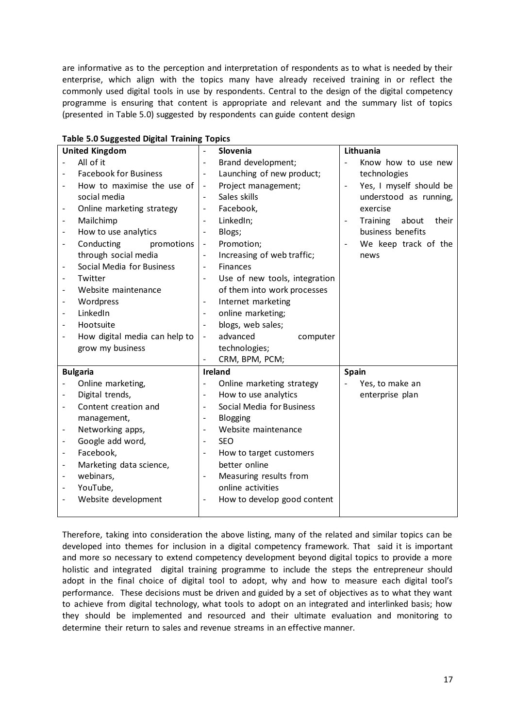are informative as to the perception and interpretation of respondents as to what is needed by their enterprise, which align with the topics many have already received training in or reflect the commonly used digital tools in use by respondents. Central to the design of the digital competency programme is ensuring that content is appropriate and relevant and the summary list of topics (presented in Table 5.0) suggested by respondents can guide content design

|                          | <b>United Kingdom</b>         |                              | Slovenia                      |                          | Lithuania                  |
|--------------------------|-------------------------------|------------------------------|-------------------------------|--------------------------|----------------------------|
|                          | All of it                     |                              | Brand development;            | $\overline{\phantom{a}}$ | Know how to use new        |
|                          | <b>Facebook for Business</b>  |                              | Launching of new product;     |                          | technologies               |
|                          | How to maximise the use of    | $\qquad \qquad \blacksquare$ | Project management;           | $\overline{\phantom{a}}$ | Yes, I myself should be    |
|                          | social media                  |                              | Sales skills                  |                          | understood as running,     |
| $\overline{\phantom{0}}$ | Online marketing strategy     | $\overline{\phantom{a}}$     | Facebook,                     |                          | exercise                   |
| -                        | Mailchimp                     |                              | LinkedIn;                     |                          | Training<br>about<br>their |
| -                        | How to use analytics          | $\overline{\phantom{a}}$     | Blogs;                        |                          | business benefits          |
| $\overline{a}$           | Conducting<br>promotions      | $\overline{\phantom{a}}$     | Promotion;                    |                          | We keep track of the       |
|                          | through social media          |                              | Increasing of web traffic;    |                          | news                       |
| $\overline{\phantom{0}}$ | Social Media for Business     | $\overline{\phantom{a}}$     | <b>Finances</b>               |                          |                            |
|                          | Twitter                       |                              | Use of new tools, integration |                          |                            |
|                          | Website maintenance           |                              | of them into work processes   |                          |                            |
| $\overline{a}$           | Wordpress                     | $\overline{\phantom{a}}$     | Internet marketing            |                          |                            |
|                          | LinkedIn                      |                              | online marketing;             |                          |                            |
|                          | Hootsuite                     | $\blacksquare$               | blogs, web sales;             |                          |                            |
|                          | How digital media can help to | $\overline{\phantom{a}}$     | advanced<br>computer          |                          |                            |
|                          | grow my business              |                              | technologies;                 |                          |                            |
|                          |                               |                              | CRM, BPM, PCM;                |                          |                            |
|                          | <b>Bulgaria</b>               |                              | <b>Ireland</b>                | <b>Spain</b>             |                            |
|                          | Online marketing,             |                              | Online marketing strategy     |                          | Yes, to make an            |
|                          | Digital trends,               | $\qquad \qquad \blacksquare$ | How to use analytics          |                          | enterprise plan            |
|                          | Content creation and          |                              | Social Media for Business     |                          |                            |
|                          | management,                   | $\qquad \qquad -$            | Blogging                      |                          |                            |
| -                        | Networking apps,              | $\overline{\phantom{a}}$     | Website maintenance           |                          |                            |
|                          | Google add word,              |                              | <b>SEO</b>                    |                          |                            |
| -                        | Facebook,                     |                              | How to target customers       |                          |                            |
| -                        | Marketing data science,       |                              | better online                 |                          |                            |
| $\overline{\phantom{0}}$ | webinars,                     | $\overline{\phantom{m}}$     | Measuring results from        |                          |                            |
|                          | YouTube,                      |                              | online activities             |                          |                            |
|                          | Website development           | $\overline{\phantom{a}}$     | How to develop good content   |                          |                            |
|                          |                               |                              |                               |                          |                            |

| <b>Table 5.0 Suggested Digital Training Topics</b> |  |  |  |
|----------------------------------------------------|--|--|--|
|----------------------------------------------------|--|--|--|

Therefore, taking into consideration the above listing, many of the related and similar topics can be developed into themes for inclusion in a digital competency framework. That said it is important and more so necessary to extend competency development beyond digital topics to provide a more holistic and integrated digital training programme to include the steps the entrepreneur should adopt in the final choice of digital tool to adopt, why and how to measure each digital tool's performance. These decisions must be driven and guided by a set of objectives as to what they want to achieve from digital technology, what tools to adopt on an integrated and interlinked basis; how they should be implemented and resourced and their ultimate evaluation and monitoring to determine their return to sales and revenue streams in an effective manner.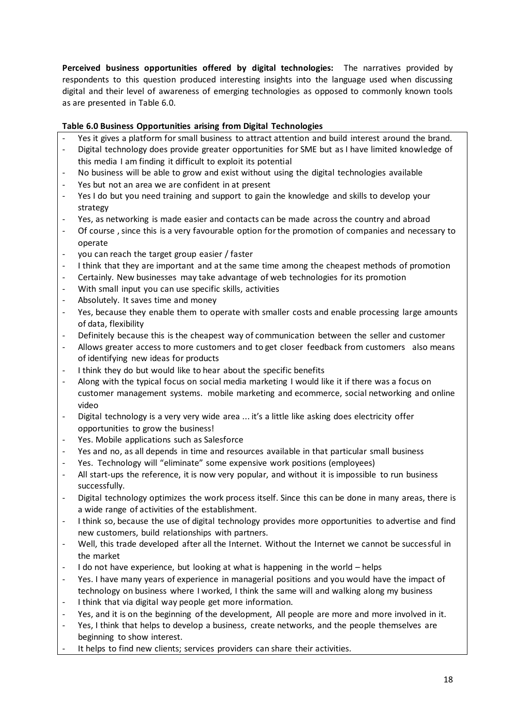**Perceived business opportunities offered by digital technologies:** The narratives provided by respondents to this question produced interesting insights into the language used when discussing digital and their level of awareness of emerging technologies as opposed to commonly known tools as are presented in Table 6.0.

### **Table 6.0 Business Opportunities arising from Digital Technologies**

- Yes it gives a platform for small business to attract attention and build interest around the brand.
- Digital technology does provide greater opportunities for SME but as I have limited knowledge of this media I am finding it difficult to exploit its potential
- No business will be able to grow and exist without using the digital technologies available
- Yes but not an area we are confident in at present
- Yes I do but you need training and support to gain the knowledge and skills to develop your strategy
- Yes, as networking is made easier and contacts can be made across the country and abroad
- Of course, since this is a very favourable option for the promotion of companies and necessary to operate
- you can reach the target group easier / faster
- I think that they are important and at the same time among the cheapest methods of promotion
- Certainly. New businesses may take advantage of web technologies for its promotion
- With small input you can use specific skills, activities
- Absolutely. It saves time and money
- Yes, because they enable them to operate with smaller costs and enable processing large amounts of data, flexibility
- Definitely because this is the cheapest way of communication between the seller and customer
- Allows greater access to more customers and to get closer feedback from customers also means of identifying new ideas for products
- I think they do but would like to hear about the specific benefits
- Along with the typical focus on social media marketing I would like it if there was a focus on customer management systems. mobile marketing and ecommerce, social networking and online video
- Digital technology is a very very wide area ... it's a little like asking does electricity offer opportunities to grow the business!
- Yes. Mobile applications such as Salesforce
- Yes and no, as all depends in time and resources available in that particular small business
- Yes. Technology will "eliminate" some expensive work positions (employees)
- All start-ups the reference, it is now very popular, and without it is impossible to run business successfully.
- Digital technology optimizes the work process itself. Since this can be done in many areas, there is a wide range of activities of the establishment.
- I think so, because the use of digital technology provides more opportunities to advertise and find new customers, build relationships with partners.
- Well, this trade developed after all the Internet. Without the Internet we cannot be successful in the market
- I do not have experience, but looking at what is happening in the world helps
- Yes. I have many years of experience in managerial positions and you would have the impact of technology on business where I worked, I think the same will and walking along my business
- I think that via digital way people get more information.
- Yes, and it is on the beginning of the development, All people are more and more involved in it.
- Yes, I think that helps to develop a business, create networks, and the people themselves are beginning to show interest.
- It helps to find new clients; services providers can share their activities.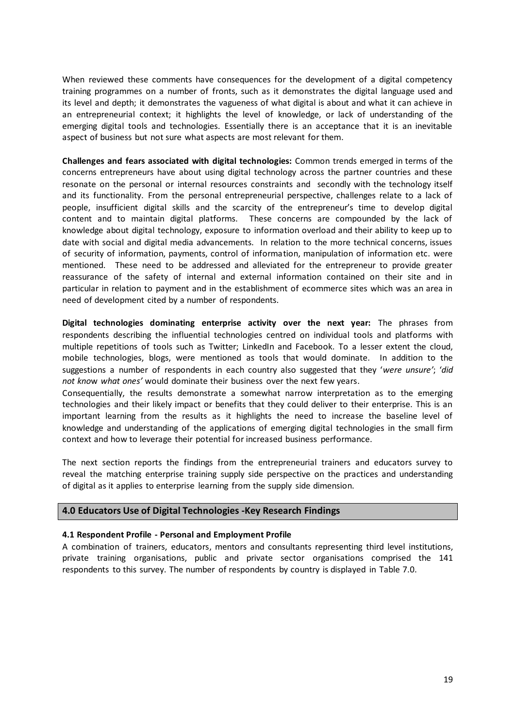When reviewed these comments have consequences for the development of a digital competency training programmes on a number of fronts, such as it demonstrates the digital language used and its level and depth; it demonstrates the vagueness of what digital is about and what it can achieve in an entrepreneurial context; it highlights the level of knowledge, or lack of understanding of the emerging digital tools and technologies. Essentially there is an acceptance that it is an inevitable aspect of business but not sure what aspects are most relevant for them.

**Challenges and fears associated with digital technologies:** Common trends emerged in terms of the concerns entrepreneurs have about using digital technology across the partner countries and these resonate on the personal or internal resources constraints and secondly with the technology itself and its functionality. From the personal entrepreneurial perspective, challenges relate to a lack of people, insufficient digital skills and the scarcity of the entrepreneur's time to develop digital content and to maintain digital platforms. These concerns are compounded by the lack of knowledge about digital technology, exposure to information overload and their ability to keep up to date with social and digital media advancements. In relation to the more technical concerns, issues of security of information, payments, control of information, manipulation of information etc. were mentioned. These need to be addressed and alleviated for the entrepreneur to provide greater reassurance of the safety of internal and external information contained on their site and in particular in relation to payment and in the establishment of ecommerce sites which was an area in need of development cited by a number of respondents.

**Digital technologies dominating enterprise activity over the next year:** The phrases from respondents describing the influential technologies centred on individual tools and platforms with multiple repetitions of tools such as Twitter; LinkedIn and Facebook. To a lesser extent the cloud, mobile technologies, blogs, were mentioned as tools that would dominate. In addition to the suggestions a number of respondents in each country also suggested that they '*were unsure'*; '*did not kno*w *what ones'* would dominate their business over the next few years.

Consequentially, the results demonstrate a somewhat narrow interpretation as to the emerging technologies and their likely impact or benefits that they could deliver to their enterprise. This is an important learning from the results as it highlights the need to increase the baseline level of knowledge and understanding of the applications of emerging digital technologies in the small firm context and how to leverage their potential for increased business performance.

The next section reports the findings from the entrepreneurial trainers and educators survey to reveal the matching enterprise training supply side perspective on the practices and understanding of digital as it applies to enterprise learning from the supply side dimension.

#### **4.0 Educators Use of Digital Technologies -Key Research Findings**

#### **4.1 Respondent Profile - Personal and Employment Profile**

A combination of trainers, educators, mentors and consultants representing third level institutions, private training organisations, public and private sector organisations comprised the 141 respondents to this survey. The number of respondents by country is displayed in Table 7.0.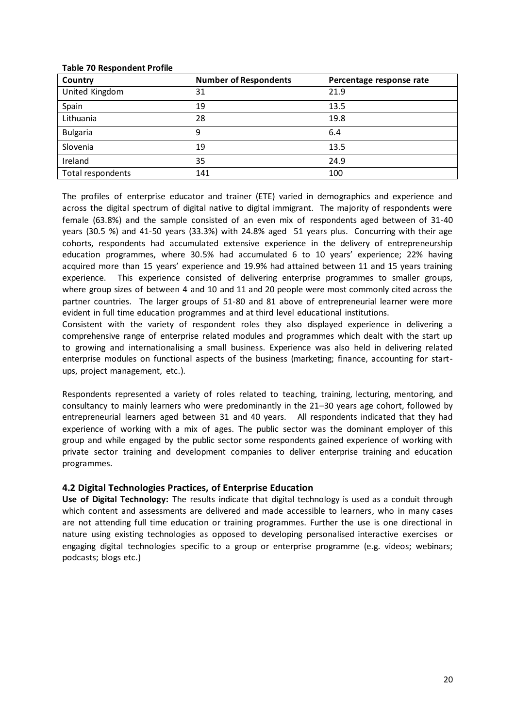| Country           | <b>Number of Respondents</b> | Percentage response rate |
|-------------------|------------------------------|--------------------------|
| United Kingdom    | 31                           | 21.9                     |
| Spain             | 19                           | 13.5                     |
| Lithuania         | 28                           | 19.8                     |
| <b>Bulgaria</b>   | 9                            | 6.4                      |
| Slovenia          | 19                           | 13.5                     |
| Ireland           | 35                           | 24.9                     |
| Total respondents | 141                          | 100                      |

#### **Table 70 Respondent Profile**

The profiles of enterprise educator and trainer (ETE) varied in demographics and experience and across the digital spectrum of digital native to digital immigrant. The majority of respondents were female (63.8%) and the sample consisted of an even mix of respondents aged between of 31-40 years (30.5 %) and 41-50 years (33.3%) with 24.8% aged 51 years plus. Concurring with their age cohorts, respondents had accumulated extensive experience in the delivery of entrepreneurship education programmes, where 30.5% had accumulated 6 to 10 years' experience; 22% having acquired more than 15 years' experience and 19.9% had attained between 11 and 15 years training experience. This experience consisted of delivering enterprise programmes to smaller groups, where group sizes of between 4 and 10 and 11 and 20 people were most commonly cited across the partner countries. The larger groups of 51-80 and 81 above of entrepreneurial learner were more evident in full time education programmes and at third level educational institutions.

Consistent with the variety of respondent roles they also displayed experience in delivering a comprehensive range of enterprise related modules and programmes which dealt with the start up to growing and internationalising a small business. Experience was also held in delivering related enterprise modules on functional aspects of the business (marketing; finance, accounting for startups, project management, etc.).

Respondents represented a variety of roles related to teaching, training, lecturing, mentoring, and consultancy to mainly learners who were predominantly in the 21–30 years age cohort, followed by entrepreneurial learners aged between 31 and 40 years. All respondents indicated that they had experience of working with a mix of ages. The public sector was the dominant employer of this group and while engaged by the public sector some respondents gained experience of working with private sector training and development companies to deliver enterprise training and education programmes.

## **4.2 Digital Technologies Practices, of Enterprise Education**

**Use of Digital Technology:** The results indicate that digital technology is used as a conduit through which content and assessments are delivered and made accessible to learners, who in many cases are not attending full time education or training programmes. Further the use is one directional in nature using existing technologies as opposed to developing personalised interactive exercises or engaging digital technologies specific to a group or enterprise programme (e.g. videos; webinars; podcasts; blogs etc.)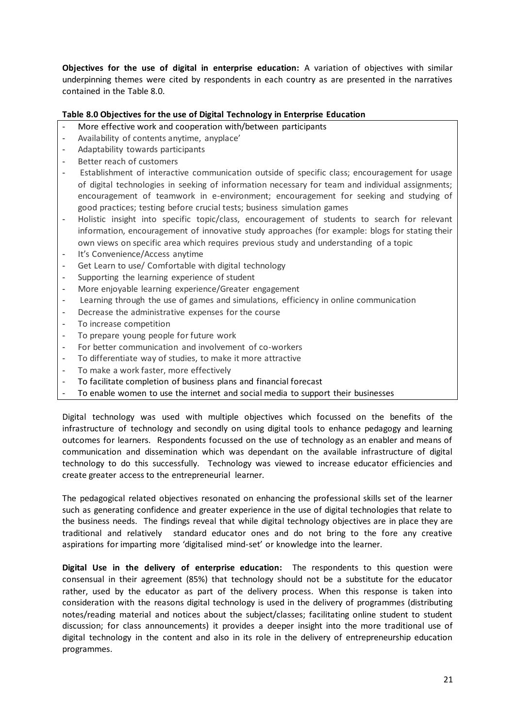**Objectives for the use of digital in enterprise education:** A variation of objectives with similar underpinning themes were cited by respondents in each country as are presented in the narratives contained in the Table 8.0.

### **Table 8.0 Objectives for the use of Digital Technology in Enterprise Education**

- More effective work and cooperation with/between participants
- Availability of contents anytime, anyplace'
- Adaptability towards participants
- Better reach of customers
- Establishment of interactive communication outside of specific class; encouragement for usage of digital technologies in seeking of information necessary for team and individual assignments; encouragement of teamwork in e-environment; encouragement for seeking and studying of good practices; testing before crucial tests; business simulation games
- Holistic insight into specific topic/class, encouragement of students to search for relevant information, encouragement of innovative study approaches (for example: blogs for stating their own views on specific area which requires previous study and understanding of a topic
- It's Convenience/Access anytime
- Get Learn to use/ Comfortable with digital technology
- Supporting the learning experience of student
- More enjoyable learning experience/Greater engagement
- Learning through the use of games and simulations, efficiency in online communication
- Decrease the administrative expenses for the course
- To increase competition
- To prepare young people for future work
- For better communication and involvement of co-workers
- To differentiate way of studies, to make it more attractive
- To make a work faster, more effectively
- To facilitate completion of business plans and financial forecast
- To enable women to use the internet and social media to support their businesses

Digital technology was used with multiple objectives which focussed on the benefits of the infrastructure of technology and secondly on using digital tools to enhance pedagogy and learning outcomes for learners. Respondents focussed on the use of technology as an enabler and means of communication and dissemination which was dependant on the available infrastructure of digital technology to do this successfully. Technology was viewed to increase educator efficiencies and create greater access to the entrepreneurial learner.

The pedagogical related objectives resonated on enhancing the professional skills set of the learner such as generating confidence and greater experience in the use of digital technologies that relate to the business needs. The findings reveal that while digital technology objectives are in place they are traditional and relatively standard educator ones and do not bring to the fore any creative aspirations for imparting more 'digitalised mind-set' or knowledge into the learner.

**Digital Use in the delivery of enterprise education:** The respondents to this question were consensual in their agreement (85%) that technology should not be a substitute for the educator rather, used by the educator as part of the delivery process. When this response is taken into consideration with the reasons digital technology is used in the delivery of programmes (distributing notes/reading material and notices about the subject/classes; facilitating online student to student discussion; for class announcements) it provides a deeper insight into the more traditional use of digital technology in the content and also in its role in the delivery of entrepreneurship education programmes.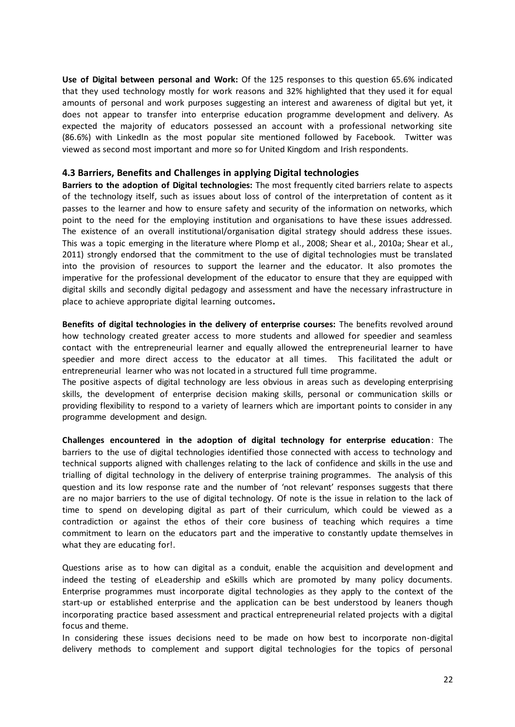**Use of Digital between personal and Work:** Of the 125 responses to this question 65.6% indicated that they used technology mostly for work reasons and 32% highlighted that they used it for equal amounts of personal and work purposes suggesting an interest and awareness of digital but yet, it does not appear to transfer into enterprise education programme development and delivery. As expected the majority of educators possessed an account with a professional networking site (86.6%) with LinkedIn as the most popular site mentioned followed by Facebook. Twitter was viewed as second most important and more so for United Kingdom and Irish respondents.

#### **4.3 Barriers, Benefits and Challenges in applying Digital technologies**

**Barriers to the adoption of Digital technologies:** The most frequently cited barriers relate to aspects of the technology itself, such as issues about loss of control of the interpretation of content as it passes to the learner and how to ensure safety and security of the information on networks, which point to the need for the employing institution and organisations to have these issues addressed. The existence of an overall institutional/organisation digital strategy should address these issues. This was a topic emerging in the literature where Plomp et al., 2008; Shear et al., 2010a; Shear et al., 2011) strongly endorsed that the commitment to the use of digital technologies must be translated into the provision of resources to support the learner and the educator. It also promotes the imperative for the professional development of the educator to ensure that they are equipped with digital skills and secondly digital pedagogy and assessment and have the necessary infrastructure in place to achieve appropriate digital learning outcomes**.** 

**Benefits of digital technologies in the delivery of enterprise courses:** The benefits revolved around how technology created greater access to more students and allowed for speedier and seamless contact with the entrepreneurial learner and equally allowed the entrepreneurial learner to have speedier and more direct access to the educator at all times. This facilitated the adult or entrepreneurial learner who was not located in a structured full time programme.

The positive aspects of digital technology are less obvious in areas such as developing enterprising skills, the development of enterprise decision making skills, personal or communication skills or providing flexibility to respond to a variety of learners which are important points to consider in any programme development and design.

**Challenges encountered in the adoption of digital technology for enterprise education**: The barriers to the use of digital technologies identified those connected with access to technology and technical supports aligned with challenges relating to the lack of confidence and skills in the use and trialling of digital technology in the delivery of enterprise training programmes. The analysis of this question and its low response rate and the number of 'not relevant' responses suggests that there are no major barriers to the use of digital technology. Of note is the issue in relation to the lack of time to spend on developing digital as part of their curriculum, which could be viewed as a contradiction or against the ethos of their core business of teaching which requires a time commitment to learn on the educators part and the imperative to constantly update themselves in what they are educating for!.

Questions arise as to how can digital as a conduit, enable the acquisition and development and indeed the testing of eLeadership and eSkills which are promoted by many policy documents. Enterprise programmes must incorporate digital technologies as they apply to the context of the start-up or established enterprise and the application can be best understood by leaners though incorporating practice based assessment and practical entrepreneurial related projects with a digital focus and theme.

In considering these issues decisions need to be made on how best to incorporate non-digital delivery methods to complement and support digital technologies for the topics of personal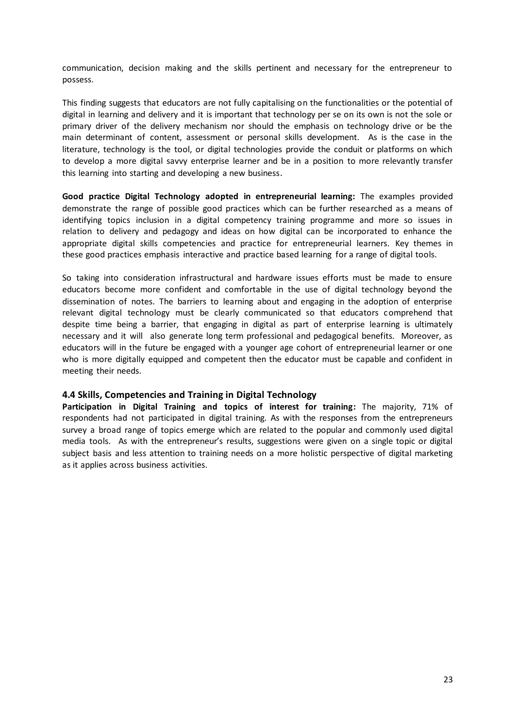communication, decision making and the skills pertinent and necessary for the entrepreneur to possess.

This finding suggests that educators are not fully capitalising on the functionalities or the potential of digital in learning and delivery and it is important that technology per se on its own is not the sole or primary driver of the delivery mechanism nor should the emphasis on technology drive or be the main determinant of content, assessment or personal skills development. As is the case in the literature, technology is the tool, or digital technologies provide the conduit or platforms on which to develop a more digital savvy enterprise learner and be in a position to more relevantly transfer this learning into starting and developing a new business.

**Good practice Digital Technology adopted in entrepreneurial learning:** The examples provided demonstrate the range of possible good practices which can be further researched as a means of identifying topics inclusion in a digital competency training programme and more so issues in relation to delivery and pedagogy and ideas on how digital can be incorporated to enhance the appropriate digital skills competencies and practice for entrepreneurial learners. Key themes in these good practices emphasis interactive and practice based learning for a range of digital tools.

So taking into consideration infrastructural and hardware issues efforts must be made to ensure educators become more confident and comfortable in the use of digital technology beyond the dissemination of notes. The barriers to learning about and engaging in the adoption of enterprise relevant digital technology must be clearly communicated so that educators comprehend that despite time being a barrier, that engaging in digital as part of enterprise learning is ultimately necessary and it will also generate long term professional and pedagogical benefits. Moreover, as educators will in the future be engaged with a younger age cohort of entrepreneurial learner or one who is more digitally equipped and competent then the educator must be capable and confident in meeting their needs.

#### **4.4 Skills, Competencies and Training in Digital Technology**

**Participation in Digital Training and topics of interest for training:** The majority, 71% of respondents had not participated in digital training. As with the responses from the entrepreneurs survey a broad range of topics emerge which are related to the popular and commonly used digital media tools. As with the entrepreneur's results, suggestions were given on a single topic or digital subject basis and less attention to training needs on a more holistic perspective of digital marketing as it applies across business activities.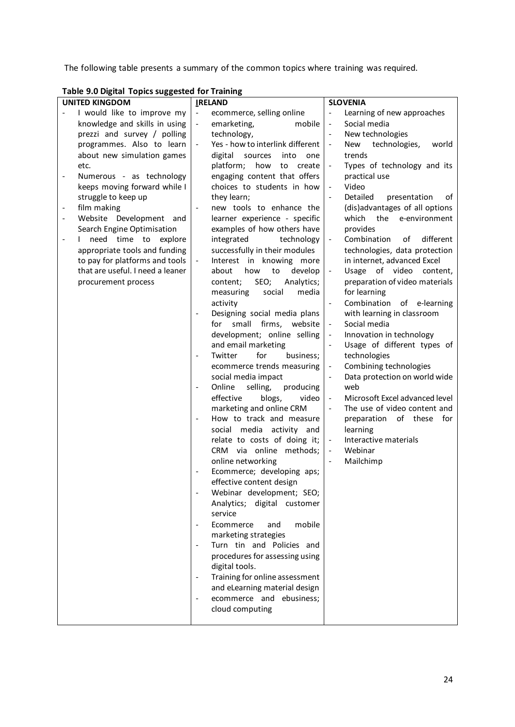The following table presents a summary of the common topics where training was required.

| <b>UNITED KINGDOM</b>                                   | <b>IRELAND</b>                                       | <b>SLOVENIA</b>                                            |
|---------------------------------------------------------|------------------------------------------------------|------------------------------------------------------------|
| I would like to improve my                              | $\blacksquare$<br>ecommerce, selling online          | Learning of new approaches                                 |
| knowledge and skills in using                           | $\Box$<br>emarketing,<br>mobile                      | Social media<br>$\overline{\phantom{m}}$                   |
| prezzi and survey / polling                             | technology,                                          | New technologies<br>$\overline{\phantom{a}}$               |
| programmes. Also to learn                               | Yes - how to interlink different<br>$\blacksquare$   | technologies,<br>New<br>world<br>$\overline{\phantom{a}}$  |
| about new simulation games                              | into<br>digital<br>sources<br>one                    | trends                                                     |
| etc.                                                    | platform;<br>how<br>to<br>create                     | Types of technology and its<br>$\overline{\phantom{a}}$    |
| Numerous - as technology<br>$\overline{\phantom{0}}$    | engaging content that offers                         | practical use                                              |
| keeps moving forward while I                            | choices to students in how                           | Video<br>$\overline{a}$                                    |
| struggle to keep up                                     | they learn;                                          | Detailed<br>presentation<br>$\Box$<br>οf                   |
| film making                                             | new tools to enhance the<br>$\Box$                   | (dis)advantages of all options                             |
| Website Development and<br>$\qquad \qquad \blacksquare$ | learner experience - specific                        | which<br>the<br>e-environment                              |
| Search Engine Optimisation                              | examples of how others have                          | provides                                                   |
| need time to<br>explore<br>$\mathbf{L}$                 | integrated<br>technology                             | Combination<br>of<br>different                             |
| appropriate tools and funding                           | successfully in their modules                        | technologies, data protection                              |
| to pay for platforms and tools                          | $\Box$<br>Interest in knowing more                   | in internet, advanced Excel                                |
| that are useful. I need a leaner                        | how<br>to<br>develop<br>about                        | Usage of video content,                                    |
|                                                         | SEO;<br>Analytics;                                   | preparation of video materials                             |
| procurement process                                     | content;<br>media<br>measuring                       |                                                            |
|                                                         | social                                               | for learning                                               |
|                                                         | activity                                             | Combination<br>of e-learning                               |
|                                                         | Designing social media plans                         | with learning in classroom                                 |
|                                                         | small<br>firms,<br>for<br>website                    | Social media<br>$\overline{\phantom{a}}$                   |
|                                                         | development; online selling                          | Innovation in technology                                   |
|                                                         | and email marketing                                  | Usage of different types of                                |
|                                                         | for<br>Twitter<br>business;                          | technologies                                               |
|                                                         | ecommerce trends measuring                           | Combining technologies                                     |
|                                                         | social media impact                                  | Data protection on world wide                              |
|                                                         | Online<br>selling,<br>producing<br>$\blacksquare$    | web                                                        |
|                                                         | effective<br>blogs,<br>video                         | Microsoft Excel advanced level<br>$\overline{\phantom{a}}$ |
|                                                         | marketing and online CRM                             | The use of video content and<br>$\overline{\phantom{a}}$   |
|                                                         | How to track and measure<br>$\overline{\phantom{a}}$ | preparation<br>of these<br>for                             |
|                                                         | social media activity and                            | learning                                                   |
|                                                         | relate to costs of doing it;                         | Interactive materials<br>$\overline{\phantom{a}}$          |
|                                                         | CRM via online methods;                              | Webinar<br>$\overline{\phantom{a}}$                        |
|                                                         | online networking                                    | Mailchimp                                                  |
|                                                         | Ecommerce; developing aps;                           |                                                            |
|                                                         | effective content design                             |                                                            |
|                                                         | Webinar development; SEO;                            |                                                            |
|                                                         | Analytics; digital customer                          |                                                            |
|                                                         | service                                              |                                                            |
|                                                         | Ecommerce<br>mobile<br>and                           |                                                            |
|                                                         | marketing strategies                                 |                                                            |
|                                                         | Turn tin and Policies and                            |                                                            |
|                                                         | procedures for assessing using                       |                                                            |
|                                                         | digital tools.                                       |                                                            |
|                                                         | Training for online assessment                       |                                                            |
|                                                         | and eLearning material design                        |                                                            |
|                                                         | ecommerce and ebusiness;                             |                                                            |
|                                                         | cloud computing                                      |                                                            |
|                                                         |                                                      |                                                            |

## **Table 9.0 Digital Topics suggested for Training**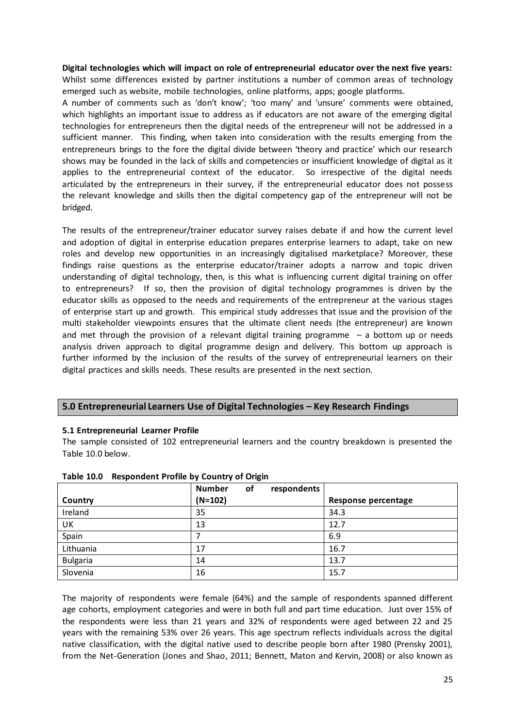**Digital technologies which will impact on role of entrepreneurial educator over the next five years:**  Whilst some differences existed by partner institutions a number of common areas of technology emerged such as website, mobile technologies, online platforms, apps; google platforms.

A number of comments such as 'don't know'; 'too many' and 'unsure' comments were obtained, which highlights an important issue to address as if educators are not aware of the emerging digital technologies for entrepreneurs then the digital needs of the entrepreneur will not be addressed in a sufficient manner. This finding, when taken into consideration with the results emerging from the entrepreneurs brings to the fore the digital divide between 'theory and practice' which our research shows may be founded in the lack of skills and competencies or insufficient knowledge of digital as it applies to the entrepreneurial context of the educator. So irrespective of the digital needs articulated by the entrepreneurs in their survey, if the entrepreneurial educator does not possess the relevant knowledge and skills then the digital competency gap of the entrepreneur will not be bridged.

The results of the entrepreneur/trainer educator survey raises debate if and how the current level and adoption of digital in enterprise education prepares enterprise learners to adapt, take on new roles and develop new opportunities in an increasingly digitalised marketplace? Moreover, these findings raise questions as the enterprise educator/trainer adopts a narrow and topic driven understanding of digital technology, then, is this what is influencing current digital training on offer to entrepreneurs? If so, then the provision of digital technology programmes is driven by the educator skills as opposed to the needs and requirements of the entrepreneur at the various stages of enterprise start up and growth. This empirical study addresses that issue and the provision of the multi stakeholder viewpoints ensures that the ultimate client needs (the entrepreneur) are known and met through the provision of a relevant digital training programme  $-$  a bottom up or needs analysis driven approach to digital programme design and delivery. This bottom up approach is further informed by the inclusion of the results of the survey of entrepreneurial learners on their digital practices and skills needs. These results are presented in the next section.

## **5.0 Entrepreneurial Learners Use of Digital Technologies – Key Research Findings**

#### **5.1 Entrepreneurial Learner Profile**

The sample consisted of 102 entrepreneurial learners and the country breakdown is presented the Table 10.0 below.

|                 | <b>Number</b><br>of<br>respondents |                     |
|-----------------|------------------------------------|---------------------|
| Country         | $(N=102)$                          | Response percentage |
| Ireland         | 35                                 | 34.3                |
| UK              | 13                                 | 12.7                |
| Spain           |                                    | 6.9                 |
| Lithuania       | 17                                 | 16.7                |
| <b>Bulgaria</b> | 14                                 | 13.7                |
| Slovenia        | 16                                 | 15.7                |

#### **Table 10.0 Respondent Profile by Country of Origin**

The majority of respondents were female (64%) and the sample of respondents spanned different age cohorts, employment categories and were in both full and part time education. Just over 15% of the respondents were less than 21 years and 32% of respondents were aged between 22 and 25 years with the remaining 53% over 26 years. This age spectrum reflects individuals across the digital native classification, with the digital native used to describe people born after 1980 (Prensky 2001), from the Net-Generation (Jones and Shao, 2011; Bennett, Maton and Kervin, 2008) or also known as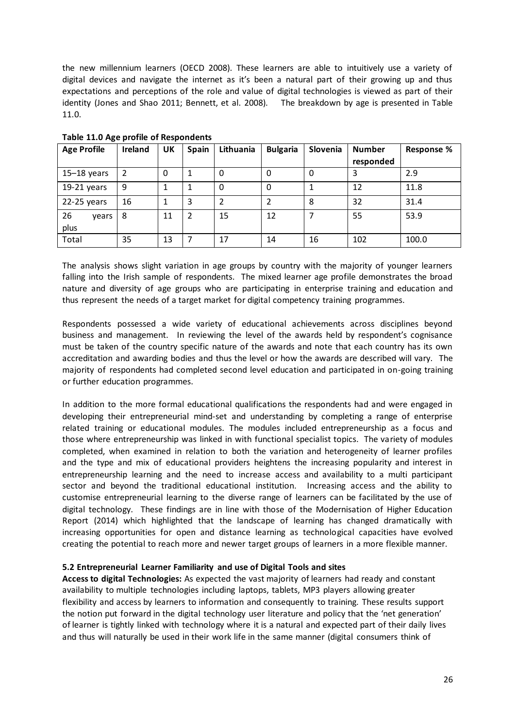the new millennium learners (OECD 2008). These learners are able to intuitively use a variety of digital devices and navigate the internet as it's been a natural part of their growing up and thus expectations and perceptions of the role and value of digital technologies is viewed as part of their identity (Jones and Shao 2011; Bennett, et al. 2008). The breakdown by age is presented in Table 11.0.

| <b>Age Profile</b>  | Ireland        | UK | <b>Spain</b>   | Lithuania | <b>Bulgaria</b> | Slovenia | <b>Number</b> | <b>Response %</b> |
|---------------------|----------------|----|----------------|-----------|-----------------|----------|---------------|-------------------|
|                     |                |    |                |           |                 |          | responded     |                   |
| $15-18$ years       | $\overline{2}$ | 0  | 1              | 0         | 0               | 0        |               | 2.9               |
| 19-21 years         | 9              |    | 1              | 0         | 0               |          | 12            | 11.8              |
| 22-25 years         | 16             |    | 3              | 2         |                 | 8        | 32            | 31.4              |
| 26<br>vears<br>plus | 8              | 11 | $\overline{2}$ | 15        | 12              |          | 55            | 53.9              |
| Total               | 35             | 13 |                | 17        | 14              | 16       | 102           | 100.0             |

**Table 11.0 Age profile of Respondents** 

The analysis shows slight variation in age groups by country with the majority of younger learners falling into the Irish sample of respondents. The mixed learner age profile demonstrates the broad nature and diversity of age groups who are participating in enterprise training and education and thus represent the needs of a target market for digital competency training programmes.

Respondents possessed a wide variety of educational achievements across disciplines beyond business and management. In reviewing the level of the awards held by respondent's cognisance must be taken of the country specific nature of the awards and note that each country has its own accreditation and awarding bodies and thus the level or how the awards are described will vary. The majority of respondents had completed second level education and participated in on-going training or further education programmes.

In addition to the more formal educational qualifications the respondents had and were engaged in developing their entrepreneurial mind-set and understanding by completing a range of enterprise related training or educational modules. The modules included entrepreneurship as a focus and those where entrepreneurship was linked in with functional specialist topics. The variety of modules completed, when examined in relation to both the variation and heterogeneity of learner profiles and the type and mix of educational providers heightens the increasing popularity and interest in entrepreneurship learning and the need to increase access and availability to a multi participant sector and beyond the traditional educational institution. Increasing access and the ability to customise entrepreneurial learning to the diverse range of learners can be facilitated by the use of digital technology. These findings are in line with those of the Modernisation of Higher Education Report (2014) which highlighted that the landscape of learning has changed dramatically with increasing opportunities for open and distance learning as technological capacities have evolved creating the potential to reach more and newer target groups of learners in a more flexible manner.

#### **5.2 Entrepreneurial Learner Familiarity and use of Digital Tools and sites**

**Access to digital Technologies:** As expected the vast majority of learners had ready and constant availability to multiple technologies including laptops, tablets, MP3 players allowing greater flexibility and access by learners to information and consequently to training. These results support the notion put forward in the digital technology user literature and policy that the 'net generation' of learner is tightly linked with technology where it is a natural and expected part of their daily lives and thus will naturally be used in their work life in the same manner (digital consumers think of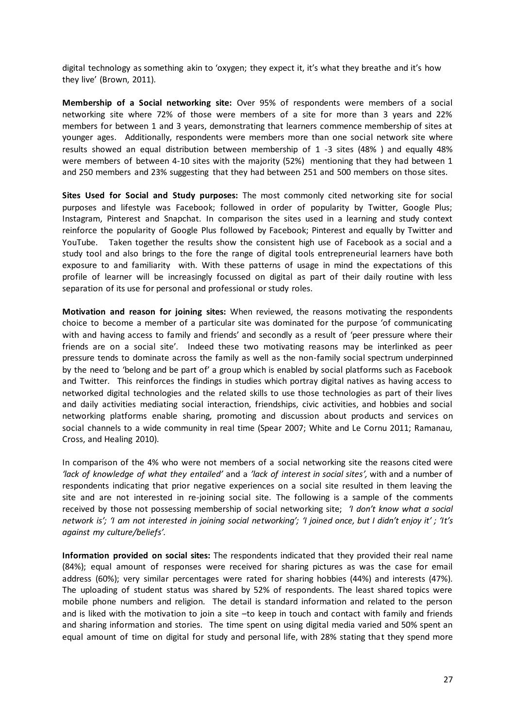digital technology as something akin to 'oxygen; they expect it, it's what they breathe and it's how they live' (Brown, 2011).

**Membership of a Social networking site:** Over 95% of respondents were members of a social networking site where 72% of those were members of a site for more than 3 years and 22% members for between 1 and 3 years, demonstrating that learners commence membership of sites at younger ages. Additionally, respondents were members more than one social network site where results showed an equal distribution between membership of 1 -3 sites (48% ) and equally 48% were members of between 4-10 sites with the majority (52%) mentioning that they had between 1 and 250 members and 23% suggesting that they had between 251 and 500 members on those sites.

**Sites Used for Social and Study purposes:** The most commonly cited networking site for social purposes and lifestyle was Facebook; followed in order of popularity by Twitter, Google Plus; Instagram, Pinterest and Snapchat. In comparison the sites used in a learning and study context reinforce the popularity of Google Plus followed by Facebook; Pinterest and equally by Twitter and YouTube. Taken together the results show the consistent high use of Facebook as a social and a study tool and also brings to the fore the range of digital tools entrepreneurial learners have both exposure to and familiarity with. With these patterns of usage in mind the expectations of this profile of learner will be increasingly focussed on digital as part of their daily routine with less separation of its use for personal and professional or study roles.

**Motivation and reason for joining sites:** When reviewed, the reasons motivating the respondents choice to become a member of a particular site was dominated for the purpose 'of communicating with and having access to family and friends' and secondly as a result of 'peer pressure where their friends are on a social site'. Indeed these two motivating reasons may be interlinked as peer pressure tends to dominate across the family as well as the non-family social spectrum underpinned by the need to 'belong and be part of' a group which is enabled by social platforms such as Facebook and Twitter. This reinforces the findings in studies which portray digital natives as having access to networked digital technologies and the related skills to use those technologies as part of their lives and daily activities mediating social interaction, friendships, civic activities, and hobbies and social networking platforms enable sharing, promoting and discussion about products and services on social channels to a wide community in real time (Spear 2007; White and Le Cornu 2011; Ramanau, Cross, and Healing 2010).

In comparison of the 4% who were not members of a social networking site the reasons cited were *'lack of knowledge of what they entailed'* and a *'lack of interest in social sites',* with and a number of respondents indicating that prior negative experiences on a social site resulted in them leaving the site and are not interested in re-joining social site. The following is a sample of the comments received by those not possessing membership of social networking site; *'I don't know what a social network is'; 'I am not interested in joining social networking'; 'I joined once, but I didn't enjoy it' ; 'It's against my culture/beliefs'.* 

**Information provided on social sites:** The respondents indicated that they provided their real name (84%); equal amount of responses were received for sharing pictures as was the case for email address (60%); very similar percentages were rated for sharing hobbies (44%) and interests (47%). The uploading of student status was shared by 52% of respondents. The least shared topics were mobile phone numbers and religion. The detail is standard information and related to the person and is liked with the motivation to join a site –to keep in touch and contact with family and friends and sharing information and stories. The time spent on using digital media varied and 50% spent an equal amount of time on digital for study and personal life, with 28% stating that they spend more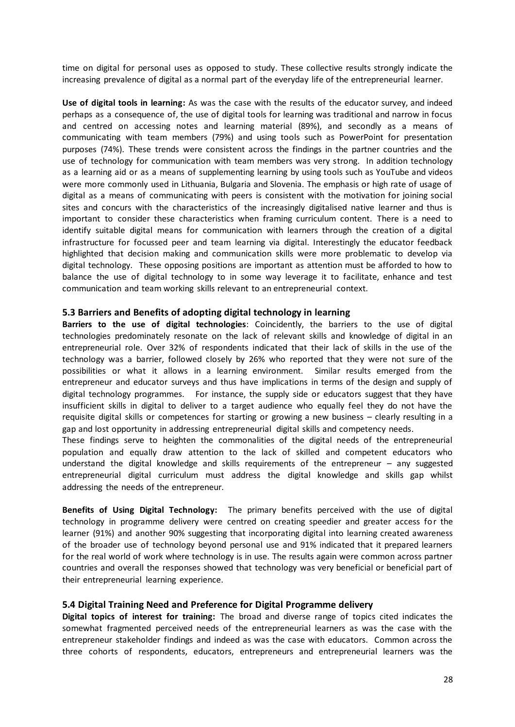time on digital for personal uses as opposed to study. These collective results strongly indicate the increasing prevalence of digital as a normal part of the everyday life of the entrepreneurial learner.

**Use of digital tools in learning:** As was the case with the results of the educator survey, and indeed perhaps as a consequence of, the use of digital tools for learning was traditional and narrow in focus and centred on accessing notes and learning material (89%), and secondly as a means of communicating with team members (79%) and using tools such as PowerPoint for presentation purposes (74%). These trends were consistent across the findings in the partner countries and the use of technology for communication with team members was very strong. In addition technology as a learning aid or as a means of supplementing learning by using tools such as YouTube and videos were more commonly used in Lithuania, Bulgaria and Slovenia. The emphasis or high rate of usage of digital as a means of communicating with peers is consistent with the motivation for joining social sites and concurs with the characteristics of the increasingly digitalised native learner and thus is important to consider these characteristics when framing curriculum content. There is a need to identify suitable digital means for communication with learners through the creation of a digital infrastructure for focussed peer and team learning via digital. Interestingly the educator feedback highlighted that decision making and communication skills were more problematic to develop via digital technology. These opposing positions are important as attention must be afforded to how to balance the use of digital technology to in some way leverage it to facilitate, enhance and test communication and team working skills relevant to an entrepreneurial context.

#### **5.3 Barriers and Benefits of adopting digital technology in learning**

**Barriers to the use of digital technologies**: Coincidently, the barriers to the use of digital technologies predominately resonate on the lack of relevant skills and knowledge of digital in an entrepreneurial role. Over 32% of respondents indicated that their lack of skills in the use of the technology was a barrier, followed closely by 26% who reported that they were not sure of the possibilities or what it allows in a learning environment. Similar results emerged from the entrepreneur and educator surveys and thus have implications in terms of the design and supply of digital technology programmes. For instance, the supply side or educators suggest that they have insufficient skills in digital to deliver to a target audience who equally feel they do not have the requisite digital skills or competences for starting or growing a new business – clearly resulting in a gap and lost opportunity in addressing entrepreneurial digital skills and competency needs.

These findings serve to heighten the commonalities of the digital needs of the entrepreneurial population and equally draw attention to the lack of skilled and competent educators who understand the digital knowledge and skills requirements of the entrepreneur – any suggested entrepreneurial digital curriculum must address the digital knowledge and skills gap whilst addressing the needs of the entrepreneur.

**Benefits of Using Digital Technology:** The primary benefits perceived with the use of digital technology in programme delivery were centred on creating speedier and greater access for the learner (91%) and another 90% suggesting that incorporating digital into learning created awareness of the broader use of technology beyond personal use and 91% indicated that it prepared learners for the real world of work where technology is in use. The results again were common across partner countries and overall the responses showed that technology was very beneficial or beneficial part of their entrepreneurial learning experience.

#### **5.4 Digital Training Need and Preference for Digital Programme delivery**

**Digital topics of interest for training:** The broad and diverse range of topics cited indicates the somewhat fragmented perceived needs of the entrepreneurial learners as was the case with the entrepreneur stakeholder findings and indeed as was the case with educators. Common across the three cohorts of respondents, educators, entrepreneurs and entrepreneurial learners was the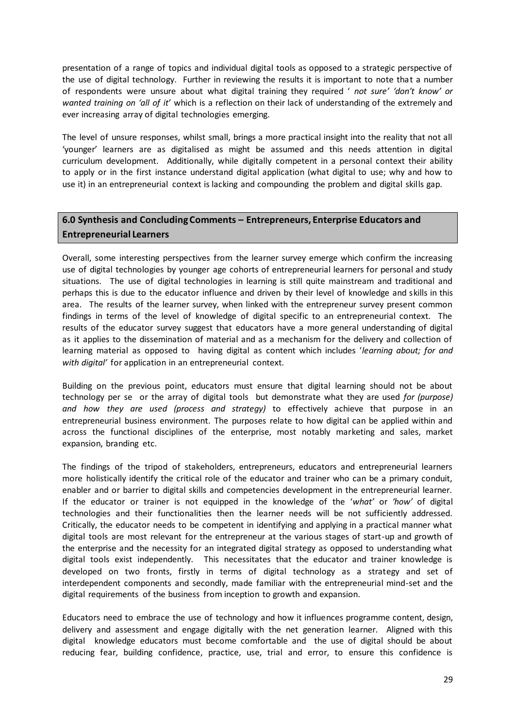presentation of a range of topics and individual digital tools as opposed to a strategic perspective of the use of digital technology. Further in reviewing the results it is important to note that a number of respondents were unsure about what digital training they required ' *not sure' 'don't know' or wanted training on 'all of it*' which is a reflection on their lack of understanding of the extremely and ever increasing array of digital technologies emerging.

The level of unsure responses, whilst small, brings a more practical insight into the reality that not all 'younger' learners are as digitalised as might be assumed and this needs attention in digital curriculum development. Additionally, while digitally competent in a personal context their ability to apply or in the first instance understand digital application (what digital to use; why and how to use it) in an entrepreneurial context is lacking and compounding the problem and digital skills gap.

# **6.0 Synthesis and Concluding Comments – Entrepreneurs, Enterprise Educators and Entrepreneurial Learners**

Overall, some interesting perspectives from the learner survey emerge which confirm the increasing use of digital technologies by younger age cohorts of entrepreneurial learners for personal and study situations. The use of digital technologies in learning is still quite mainstream and traditional and perhaps this is due to the educator influence and driven by their level of knowledge and skills in this area. The results of the learner survey, when linked with the entrepreneur survey present common findings in terms of the level of knowledge of digital specific to an entrepreneurial context. The results of the educator survey suggest that educators have a more general understanding of digital as it applies to the dissemination of material and as a mechanism for the delivery and collection of learning material as opposed to having digital as content which includes '*learning about; for and with digital'* for application in an entrepreneurial context.

Building on the previous point, educators must ensure that digital learning should not be about technology per se or the array of digital tools but demonstrate what they are used *for (purpose) and how they are used (process and strategy)* to effectively achieve that purpose in an entrepreneurial business environment. The purposes relate to how digital can be applied within and across the functional disciplines of the enterprise, most notably marketing and sales, market expansion, branding etc.

The findings of the tripod of stakeholders, entrepreneurs, educators and entrepreneurial learners more holistically identify the critical role of the educator and trainer who can be a primary conduit, enabler and or barrier to digital skills and competencies development in the entrepreneurial learner. If the educator or trainer is not equipped in the knowledge of the '*what'* or *'how'* of digital technologies and their functionalities then the learner needs will be not sufficiently addressed. Critically, the educator needs to be competent in identifying and applying in a practical manner what digital tools are most relevant for the entrepreneur at the various stages of start-up and growth of the enterprise and the necessity for an integrated digital strategy as opposed to understanding what digital tools exist independently. This necessitates that the educator and trainer knowledge is developed on two fronts, firstly in terms of digital technology as a strategy and set of interdependent components and secondly, made familiar with the entrepreneurial mind-set and the digital requirements of the business from inception to growth and expansion.

Educators need to embrace the use of technology and how it influences programme content, design, delivery and assessment and engage digitally with the net generation learner. Aligned with this digital knowledge educators must become comfortable and the use of digital should be about reducing fear, building confidence, practice, use, trial and error, to ensure this confidence is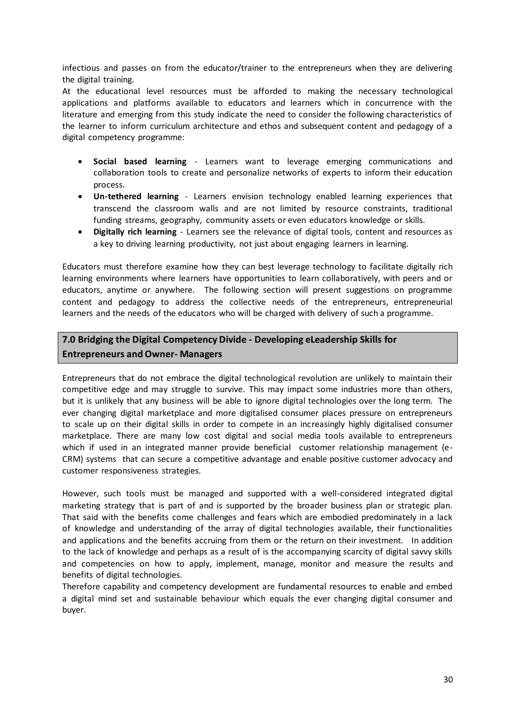infectious and passes on from the educator/trainer to the entrepreneurs when they are delivering the digital training.

At the educational level resources must be afforded to making the necessary technological applications and platforms available to educators and learners which in concurrence with the literature and emerging from this study indicate the need to consider the following characteristics of the learner to inform curriculum architecture and ethos and subsequent content and pedagogy of a digital competency programme:

- **Social based learning**  Learners want to leverage emerging communications and collaboration tools to create and personalize networks of experts to inform their education process.
- **Un‐tethered learning**  Learners envision technology enabled learning experiences that transcend the classroom walls and are not limited by resource constraints, traditional funding streams, geography, community assets or even educators knowledge or skills.
- **Digitally rich learning**  Learners see the relevance of digital tools, content and resources as a key to driving learning productivity, not just about engaging learners in learning.

Educators must therefore examine how they can best leverage technology to facilitate digitally rich learning environments where learners have opportunities to learn collaboratively, with peers and or educators, anytime or anywhere. The following section will present suggestions on programme content and pedagogy to address the collective needs of the entrepreneurs, entrepreneurial learners and the needs of the educators who will be charged with delivery of such a programme.

# **7.0 Bridging the Digital Competency Divide - Developing eLeadership Skills for Entrepreneurs and Owner- Managers**

Entrepreneurs that do not embrace the digital technological revolution are unlikely to maintain their competitive edge and may struggle to survive. This may impact some industries more than others, but it is unlikely that any business will be able to ignore digital technologies over the long term. The ever changing digital marketplace and more digitalised consumer places pressure on entrepreneurs to scale up on their digital skills in order to compete in an increasingly highly digitalised consumer marketplace. There are many low cost digital and social media tools available to entrepreneurs which if used in an integrated manner provide beneficial customer relationship management (e-CRM) systems that can secure a competitive advantage and enable positive customer advocacy and customer responsiveness strategies.

However, such tools must be managed and supported with a well-considered integrated digital marketing strategy that is part of and is supported by the broader business plan or strategic plan. That said with the benefits come challenges and fears which are embodied predominately in a lack of knowledge and understanding of the array of digital technologies available, their functionalities and applications and the benefits accruing from them or the return on their investment. In addition to the lack of knowledge and perhaps as a result of is the accompanying scarcity of digital savvy skills and competencies on how to apply, implement, manage, monitor and measure the results and benefits of digital technologies.

Therefore capability and competency development are fundamental resources to enable and embed a digital mind set and sustainable behaviour which equals the ever changing digital consumer and buyer.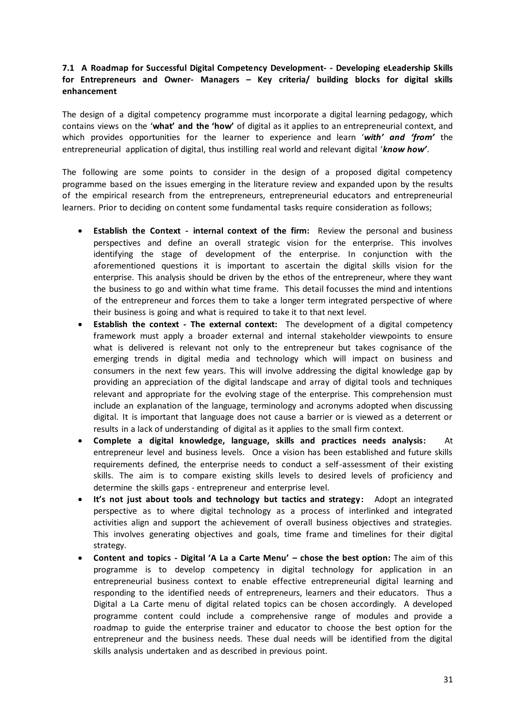## **7.1 A Roadmap for Successful Digital Competency Development- - Developing eLeadership Skills for Entrepreneurs and Owner- Managers – Key criteria/ building blocks for digital skills enhancement**

The design of a digital competency programme must incorporate a digital learning pedagogy, which contains views on the '**what' and the 'how'** of digital as it applies to an entrepreneurial context, and which provides opportunities for the learner to experience and learn '*with' and 'from'* the entrepreneurial application of digital, thus instilling real world and relevant digital '*know how'*.

The following are some points to consider in the design of a proposed digital competency programme based on the issues emerging in the literature review and expanded upon by the results of the empirical research from the entrepreneurs, entrepreneurial educators and entrepreneurial learners. Prior to deciding on content some fundamental tasks require consideration as follows;

- **Establish the Context - internal context of the firm:** Review the personal and business perspectives and define an overall strategic vision for the enterprise. This involves identifying the stage of development of the enterprise. In conjunction with the aforementioned questions it is important to ascertain the digital skills vision for the enterprise. This analysis should be driven by the ethos of the entrepreneur, where they want the business to go and within what time frame. This detail focusses the mind and intentions of the entrepreneur and forces them to take a longer term integrated perspective of where their business is going and what is required to take it to that next level.
- **Establish the context - The external context:** The development of a digital competency framework must apply a broader external and internal stakeholder viewpoints to ensure what is delivered is relevant not only to the entrepreneur but takes cognisance of the emerging trends in digital media and technology which will impact on business and consumers in the next few years. This will involve addressing the digital knowledge gap by providing an appreciation of the digital landscape and array of digital tools and techniques relevant and appropriate for the evolving stage of the enterprise. This comprehension must include an explanation of the language, terminology and acronyms adopted when discussing digital. It is important that language does not cause a barrier or is viewed as a deterrent or results in a lack of understanding of digital as it applies to the small firm context.
- **Complete a digital knowledge, language, skills and practices needs analysis:** At entrepreneur level and business levels. Once a vision has been established and future skills requirements defined, the enterprise needs to conduct a self-assessment of their existing skills. The aim is to compare existing skills levels to desired levels of proficiency and determine the skills gaps - entrepreneur and enterprise level.
- **It's not just about tools and technology but tactics and strategy:** Adopt an integrated perspective as to where digital technology as a process of interlinked and integrated activities align and support the achievement of overall business objectives and strategies. This involves generating objectives and goals, time frame and timelines for their digital strategy.
- **Content and topics - Digital 'A La a Carte Menu' – chose the best option:** The aim of this programme is to develop competency in digital technology for application in an entrepreneurial business context to enable effective entrepreneurial digital learning and responding to the identified needs of entrepreneurs, learners and their educators. Thus a Digital a La Carte menu of digital related topics can be chosen accordingly. A developed programme content could include a comprehensive range of modules and provide a roadmap to guide the enterprise trainer and educator to choose the best option for the entrepreneur and the business needs. These dual needs will be identified from the digital skills analysis undertaken and as described in previous point.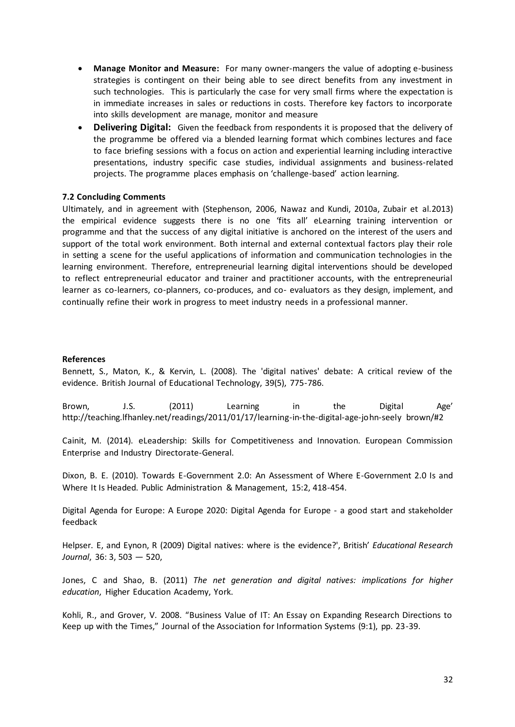- **Manage Monitor and Measure:** For many owner-mangers the value of adopting e-business strategies is contingent on their being able to see direct benefits from any investment in such technologies. This is particularly the case for very small firms where the expectation is in immediate increases in sales or reductions in costs. Therefore key factors to incorporate into skills development are manage, monitor and measure
- **Delivering Digital:** Given the feedback from respondents it is proposed that the delivery of the programme be offered via a blended learning format which combines lectures and face to face briefing sessions with a focus on action and experiential learning including interactive presentations, industry specific case studies, individual assignments and business-related projects. The programme places emphasis on 'challenge-based' action learning.

#### **7.2 Concluding Comments**

Ultimately, and in agreement with (Stephenson, 2006, Nawaz and Kundi, 2010a, Zubair et al.2013) the empirical evidence suggests there is no one 'fits all' eLearning training intervention or programme and that the success of any digital initiative is anchored on the interest of the users and support of the total work environment. Both internal and external contextual factors play their role in setting a scene for the useful applications of information and communication technologies in the learning environment. Therefore, entrepreneurial learning digital interventions should be developed to reflect entrepreneurial educator and trainer and practitioner accounts, with the entrepreneurial learner as co-learners, co-planners, co-produces, and co- evaluators as they design, implement, and continually refine their work in progress to meet industry needs in a professional manner.

#### **References**

Bennett, S., Maton, K., & Kervin, L. (2008). The 'digital natives' debate: A critical review of the evidence. British Journal of Educational Technology, 39(5), 775-786.

Brown, J.S. (2011) Learning in the Digital Age' http://teaching.lfhanley.net/readings/2011/01/17/learning-in-the-digital-age-john-seely brown/#2

Cainit, M. (2014). eLeadership: Skills for Competitiveness and Innovation. European Commission Enterprise and Industry Directorate-General.

Dixon, B. E. (2010). Towards E-Government 2.0: An Assessment of Where E-Government 2.0 Is and Where It Is Headed. Public Administration & Management, 15:2, 418-454.

Digital Agenda for Europe: A Europe 2020: Digital Agenda for Europe - a good start and stakeholder feedback

Helpser. E, and Eynon, R (2009) Digital natives: where is the evidence?', British' *Educational Research Journal*, 36: 3, 503 — 520,

Jones, C and Shao, B. (2011) *The net generation and digital natives: implications for higher education*, Higher Education Academy, York.

Kohli, R., and Grover, V. 2008. "Business Value of IT: An Essay on Expanding Research Directions to Keep up with the Times," Journal of the Association for Information Systems (9:1), pp. 23-39.